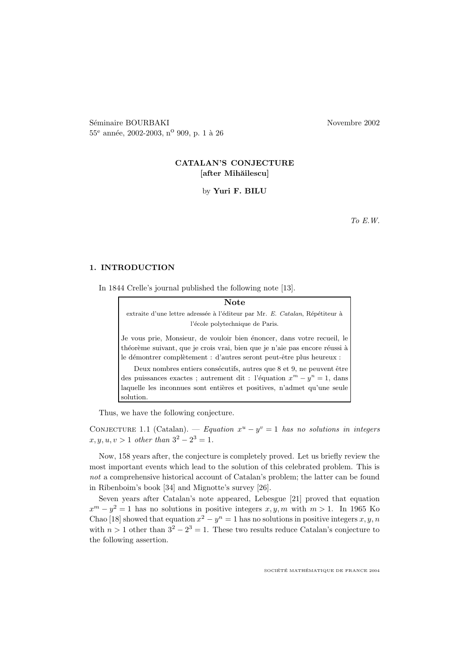Séminaire BOURBAKI Novembre 2002  $55^{\rm e}$ année, 2002-2003, n<sup>o</sup> 909, p. 1 à 26

# CATALAN'S CONJECTURE [after Mihăilescu]

by Yuri F. BILU

To E.W.

#### 1. INTRODUCTION

In 1844 Crelle's journal published the following note [13].

Note extraite d'une lettre adressée à l'éditeur par Mr. E. Catalan, Répétiteur à l'école polytechnique de Paris. Je vous prie, Monsieur, de vouloir bien énoncer, dans votre recueil, le théorème suivant, que je crois vrai, bien que je n'aie pas encore réussi à le démontrer complètement : d'autres seront peut-être plus heureux : Deux nombres entiers consécutifs, autres que 8 et 9, ne peuvent être des puissances exactes ; autrement dit : l'équation  $x^m - y^n = 1$ , dans laquelle les inconnues sont entières et positives, n'admet qu'une seule solution.

Thus, we have the following conjecture.

CONJECTURE 1.1 (Catalan). — Equation  $x^u - y^v = 1$  has no solutions in integers  $x, y, u, v > 1$  other than  $3^2 - 2^3 = 1$ .

Now, 158 years after, the conjecture is completely proved. Let us briefly review the most important events which lead to the solution of this celebrated problem. This is not a comprehensive historical account of Catalan's problem; the latter can be found in Ribenboim's book [34] and Mignotte's survey [26].

Seven years after Catalan's note appeared, Lebesgue [21] proved that equation  $x^m - y^2 = 1$  has no solutions in positive integers  $x, y, m$  with  $m > 1$ . In 1965 Ko Chao [18] showed that equation  $x^2 - y^n = 1$  has no solutions in positive integers  $x, y, n$ with  $n > 1$  other than  $3^2 - 2^3 = 1$ . These two results reduce Catalan's conjecture to the following assertion.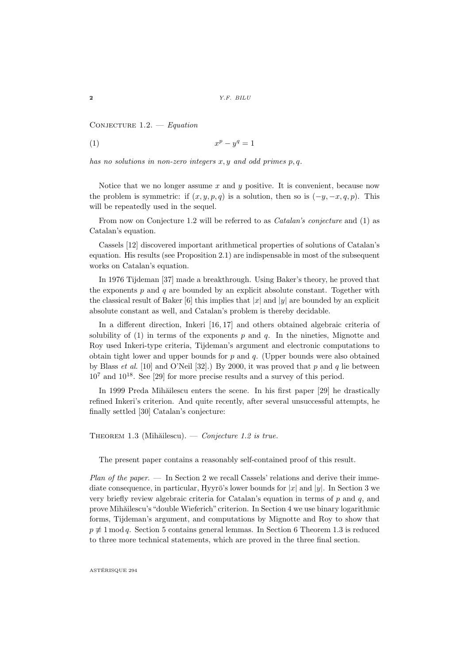CONJECTURE  $1.2.$  - Equation

$$
(1) \t\t xp - yq = 1
$$

has no solutions in non-zero integers  $x, y$  and odd primes  $p, q$ .

Notice that we no longer assume x and y positive. It is convenient, because now the problem is symmetric: if  $(x, y, p, q)$  is a solution, then so is  $(-y, -x, q, p)$ . This will be repeatedly used in the sequel.

From now on Conjecture 1.2 will be referred to as *Catalan's conjecture* and (1) as Catalan's equation.

Cassels [12] discovered important arithmetical properties of solutions of Catalan's equation. His results (see Proposition 2.1) are indispensable in most of the subsequent works on Catalan's equation.

In 1976 Tijdeman [37] made a breakthrough. Using Baker's theory, he proved that the exponents  $p$  and  $q$  are bounded by an explicit absolute constant. Together with the classical result of Baker [6] this implies that  $|x|$  and  $|y|$  are bounded by an explicit absolute constant as well, and Catalan's problem is thereby decidable.

In a different direction, Inkeri [16, 17] and others obtained algebraic criteria of solubility of  $(1)$  in terms of the exponents p and q. In the nineties, Mignotte and Roy used Inkeri-type criteria, Tijdeman's argument and electronic computations to obtain tight lower and upper bounds for  $p$  and  $q$ . (Upper bounds were also obtained by Blass et al. [10] and O'Neil [32].) By 2000, it was proved that  $p$  and  $q$  lie between 10<sup>7</sup> and 10<sup>18</sup> . See [29] for more precise results and a survey of this period.

In 1999 Preda Mihăilescu enters the scene. In his first paper [29] he drastically refined Inkeri's criterion. And quite recently, after several unsuccessful attempts, he finally settled [30] Catalan's conjecture:

THEOREM 1.3 (Mihăilescu). — Conjecture 1.2 is true.

The present paper contains a reasonably self-contained proof of this result.

*Plan of the paper.* — In Section 2 we recall Cassels' relations and derive their immediate consequence, in particular, Hyyrö's lower bounds for  $|x|$  and  $|y|$ . In Section 3 we very briefly review algebraic criteria for Catalan's equation in terms of  $p$  and  $q$ , and prove Mih˘ailescu's"double Wieferich"criterion. In Section 4 we use binary logarithmic forms, Tijdeman's argument, and computations by Mignotte and Roy to show that  $p \not\equiv 1 \mod q$ . Section 5 contains general lemmas. In Section 6 Theorem 1.3 is reduced to three more technical statements, which are proved in the three final section.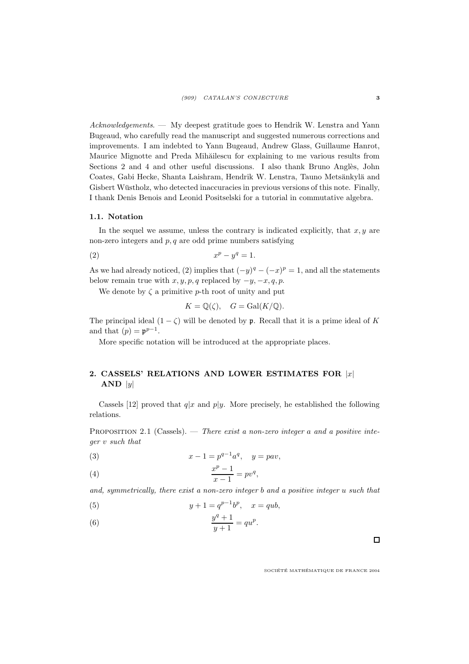Acknowledgements. — My deepest gratitude goes to Hendrik W. Lenstra and Yann Bugeaud, who carefully read the manuscript and suggested numerous corrections and improvements. I am indebted to Yann Bugeaud, Andrew Glass, Guillaume Hanrot, Maurice Mignotte and Preda Mihăilescu for explaining to me various results from Sections 2 and 4 and other useful discussions. I also thank Bruno Anglès, John Coates, Gabi Hecke, Shanta Laishram, Hendrik W. Lenstra, Tauno Metsänkylä and Gisbert Wüstholz, who detected inaccuracies in previous versions of this note. Finally, I thank Denis Benois and Leonid Positselski for a tutorial in commutative algebra.

#### 1.1. Notation

In the sequel we assume, unless the contrary is indicated explicitly, that  $x, y$  are non-zero integers and  $p, q$  are odd prime numbers satisfying

$$
(2) \t\t xp - yq = 1.
$$

As we had already noticed, (2) implies that  $(-y)^q - (-x)^p = 1$ , and all the statements below remain true with  $x, y, p, q$  replaced by  $-y, -x, q, p$ .

We denote by  $\zeta$  a primitive p-th root of unity and put

$$
K = \mathbb{Q}(\zeta), \quad G = \text{Gal}(K/\mathbb{Q}).
$$

The principal ideal  $(1 - \zeta)$  will be denoted by p. Recall that it is a prime ideal of K and that  $(p) = p^{p-1}$ .

More specific notation will be introduced at the appropriate places.

# 2. CASSELS' RELATIONS AND LOWER ESTIMATES FOR  $|x|$  $AND |y|$

Cassels [12] proved that  $q|x|$  and  $p|y$ . More precisely, he established the following relations.

PROPOSITION 2.1 (Cassels). — There exist a non-zero integer a and a positive integer v such that

(3) 
$$
x - 1 = p^{q-1}a^q
$$
,  $y = pav$ ,

(4) 
$$
\frac{x^p - 1}{x - 1} = pv^q,
$$

and, symmetrically, there exist a non-zero integer b and a positive integer u such that

(5) 
$$
y + 1 = q^{p-1}b^p
$$
,  $x = qub$ ,

$$
(6) \qquad \qquad \frac{y^q + 1}{y + 1} = qu^p.
$$

SOCIÉTÉ MATHÉMATIQUE DE FRANCE 2004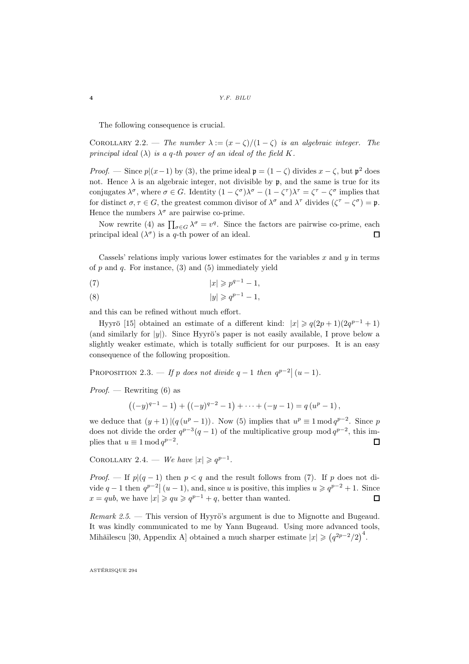The following consequence is crucial.

COROLLARY 2.2. — The number  $\lambda := (x - \zeta)/(1 - \zeta)$  is an algebraic integer. The principal ideal  $(\lambda)$  is a q-th power of an ideal of the field K.

*Proof.* — Since  $p|(x-1)$  by (3), the prime ideal  $\mathfrak{p} = (1 - \zeta)$  divides  $x - \zeta$ , but  $\mathfrak{p}^2$  does not. Hence  $\lambda$  is an algebraic integer, not divisible by p, and the same is true for its conjugates  $\lambda^{\sigma}$ , where  $\sigma \in G$ . Identity  $(1 - \zeta^{\sigma})\lambda^{\sigma} - (1 - \zeta^{\tau})\lambda^{\tau} = \zeta^{\tau} - \zeta^{\sigma}$  implies that for distinct  $\sigma, \tau \in G$ , the greatest common divisor of  $\lambda^{\sigma}$  and  $\lambda^{\tau}$  divides  $(\zeta^{\tau} - \zeta^{\sigma}) = \mathfrak{p}$ . Hence the numbers  $\lambda^{\sigma}$  are pairwise co-prime.

Now rewrite (4) as  $\prod_{\sigma \in G} \lambda^{\sigma} = v^{q}$ . Since the factors are pairwise co-prime, each principal ideal  $(\lambda^{\sigma})$  is a q-th power of an ideal.  $\Box$ 

Cassels' relations imply various lower estimates for the variables  $x$  and  $y$  in terms of p and q. For instance,  $(3)$  and  $(5)$  immediately yield

$$
|x| \geqslant p^{q-1} - 1,
$$

$$
(8) \t\t |y| \geqslant q^{p-1} - 1,
$$

and this can be refined without much effort.

Hyyrö [15] obtained an estimate of a different kind:  $|x| \geqslant q(2p+1)(2q^{p-1}+1)$ (and similarly for  $|y|$ ). Since Hyyrö's paper is not easily available. I prove below a slightly weaker estimate, which is totally sufficient for our purposes. It is an easy consequence of the following proposition.

PROPOSITION 2.3. — If p does not divide  $q-1$  then  $q^{p-2} | (u-1)$ .

*Proof.* — Rewriting  $(6)$  as

$$
((-y)^{q-1}-1)+((-y)^{q-2}-1)+\cdots+(-y-1)=q(u^p-1),
$$

we deduce that  $(y+1)|(q(w^p-1))$ . Now (5) implies that  $u^p \equiv 1 \mod q^{p-2}$ . Since p does not divide the order  $q^{p-3}(q-1)$  of the multiplicative group  $mod q^{p-2}$ , this implies that  $u \equiv 1 \mod q^{p-2}$ .  $\Box$ 

COROLLARY 2.4. — We have  $|x| \geqslant q^{p-1}$ .

*Proof.* — If  $p|(q-1)$  then  $p < q$  and the result follows from (7). If p does not divide  $q-1$  then  $q^{p-2} | (u-1)$ , and, since u is positive, this implies  $u \geqslant q^{p-2} + 1$ . Since  $x = qub$ , we have  $|x| \geqslant qu \geqslant q^{p-1} + q$ , better than wanted.  $\Box$ 

*Remark 2.5.* — This version of Hyyrö's argument is due to Mignotte and Bugeaud. It was kindly communicated to me by Yann Bugeaud. Using more advanced tools, Mihăilescu [30, Appendix A] obtained a much sharper estimate  $|x| \geq (q^{2p-2}/2)^4$ .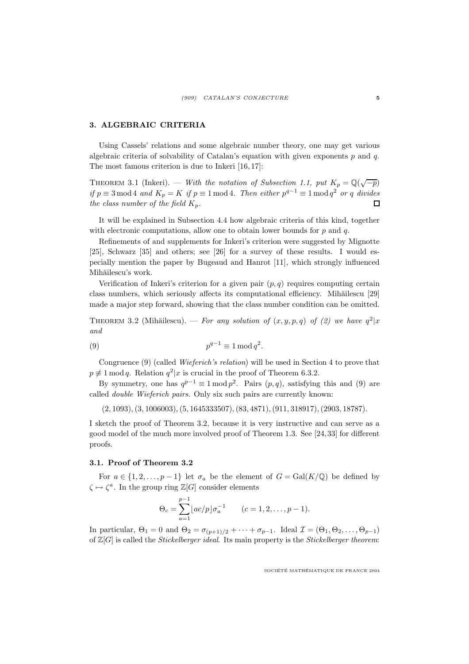# 3. ALGEBRAIC CRITERIA

Using Cassels' relations and some algebraic number theory, one may get various algebraic criteria of solvability of Catalan's equation with given exponents  $p$  and  $q$ . The most famous criterion is due to Inkeri [16, 17]:

THEOREM 3.1 (Inkeri). — With the notation of Subsection 1.1, put  $K_p = \mathbb{Q}(\sqrt{-p})$ if  $p \equiv 3 \mod 4$  and  $K_p = K$  if  $p \equiv 1 \mod 4$ . Then either  $p^{q-1} \equiv 1 \mod q^2$  or q divides the class number of the field  $K_p$ . П

It will be explained in Subsection 4.4 how algebraic criteria of this kind, together with electronic computations, allow one to obtain lower bounds for  $p$  and  $q$ .

Refinements of and supplements for Inkeri's criterion were suggested by Mignotte [25], Schwarz [35] and others; see [26] for a survey of these results. I would especially mention the paper by Bugeaud and Hanrot [11], which strongly influenced Mihăilescu's work.

Verification of Inkeri's criterion for a given pair  $(p, q)$  requires computing certain class numbers, which seriously affects its computational efficiency. Mihăilescu [29] made a major step forward, showing that the class number condition can be omitted.

THEOREM 3.2 (Mihăilescu). — For any solution of  $(x, y, p, q)$  of  $(2)$  we have  $q^2|x$ and

$$
(9) \t\t\t\t $p^{q-1} \equiv 1 \mod q^2.$
$$

Congruence (9) (called Wieferich's relation) will be used in Section 4 to prove that  $p \neq 1 \mod q$ . Relation  $q^2|x$  is crucial in the proof of Theorem 6.3.2.

By symmetry, one has  $q^{p-1} \equiv 1 \mod p^2$ . Pairs  $(p, q)$ , satisfying this and (9) are called double Wieferich pairs. Only six such pairs are currently known:

(2, 1093),(3, 1006003),(5, 1645333507),(83, 4871),(911, 318917),(2903, 18787).

I sketch the proof of Theorem 3.2, because it is very instructive and can serve as a good model of the much more involved proof of Theorem 1.3. See [24,33] for different proofs.

#### 3.1. Proof of Theorem 3.2

For  $a \in \{1, 2, ..., p-1\}$  let  $\sigma_a$  be the element of  $G = \text{Gal}(K/\mathbb{Q})$  be defined by  $\zeta \mapsto \zeta^a$ . In the group ring  $\mathbb{Z}[G]$  consider elements

$$
\Theta_c = \sum_{a=1}^{p-1} \lfloor ac/p \rfloor \sigma_a^{-1} \qquad (c = 1, 2, \dots, p-1).
$$

In particular,  $\Theta_1 = 0$  and  $\Theta_2 = \sigma_{(p+1)/2} + \cdots + \sigma_{p-1}$ . Ideal  $\mathcal{I} = (\Theta_1, \Theta_2, \ldots, \Theta_{p-1})$ of  $\mathbb{Z}[G]$  is called the *Stickelberger ideal*. Its main property is the *Stickelberger theorem*: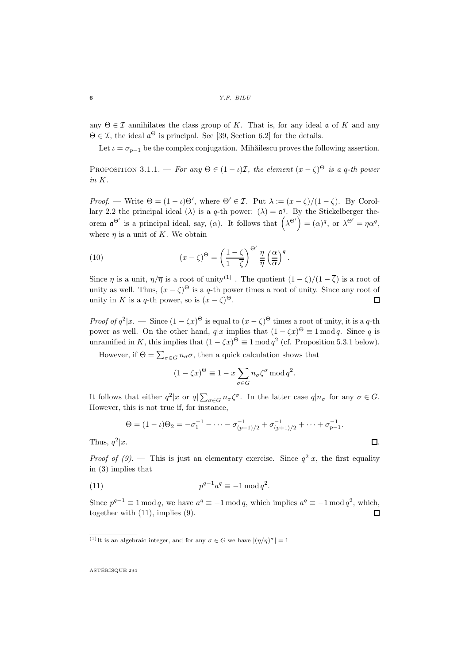any  $\Theta \in \mathcal{I}$  annihilates the class group of K. That is, for any ideal  $\mathfrak{a}$  of K and any  $\Theta \in \mathcal{I}$ , the ideal  $\mathfrak{a}^{\Theta}$  is principal. See [39, Section 6.2] for the details.

Let  $\iota = \sigma_{n-1}$  be the complex conjugation. Mihăilescu proves the following assertion.

PROPOSITION 3.1.1. — For any  $\Theta \in (1 - \iota)\mathcal{I}$ , the element  $(x - \zeta)^{\Theta}$  is a q-th power in K.

*Proof.* — Write  $\Theta = (1 - \iota)\Theta'$ , where  $\Theta' \in \mathcal{I}$ . Put  $\lambda := (x - \zeta)/(1 - \zeta)$ . By Corollary 2.2 the principal ideal ( $\lambda$ ) is a q-th power: ( $\lambda$ ) =  $\mathfrak{a}^q$ . By the Stickelberger theorem  $\mathfrak{a}^{\Theta'}$  is a principal ideal, say, ( $\alpha$ ). It follows that  $(\lambda^{\Theta'}) = (\alpha)^q$ , or  $\lambda^{\Theta'} = \eta \alpha^q$ , where  $\eta$  is a unit of K. We obtain

(10) 
$$
(x - \zeta)^{\Theta} = \left(\frac{1 - \zeta}{1 - \overline{\zeta}}\right)^{\Theta'} \frac{\eta}{\overline{\eta}} \left(\frac{\alpha}{\overline{\alpha}}\right)^{q}.
$$

Since  $\eta$  is a unit,  $\eta/\overline{\eta}$  is a root of unity<sup>(1)</sup>. The quotient  $(1-\zeta)/(1-\overline{\zeta})$  is a root of unity as well. Thus,  $(x - \zeta)^{\Theta}$  is a q-th power times a root of unity. Since any root of unity in K is a q-th power, so is  $(x - \zeta)^{\Theta}$ .  $\Box$ 

*Proof of q*<sup>2</sup>|x. — Since  $(1 - \zeta x)^{\Theta}$  is equal to  $(x - \zeta)^{\Theta}$  times a root of unity, it is a q-th power as well. On the other hand,  $q|x$  implies that  $(1 - \zeta x)^{\Theta} \equiv 1 \mod q$ . Since q is unramified in K, this implies that  $(1 - \zeta x)^{\Theta} \equiv 1 \mod q^2$  (cf. Proposition 5.3.1 below).

However, if  $\Theta = \sum_{\sigma \in G} n_{\sigma} \sigma$ , then a quick calculation shows that

$$
(1 - \zeta x)^{\Theta} \equiv 1 - x \sum_{\sigma \in G} n_{\sigma} \zeta^{\sigma} \mod q^2.
$$

It follows that either  $q^2|x$  or  $q|\sum_{\sigma\in G}n_{\sigma}\zeta^{\sigma}$ . In the latter case  $q|n_{\sigma}$  for any  $\sigma\in G$ . However, this is not true if, for instance,

$$
\Theta = (1 - \iota)\Theta_2 = -\sigma_1^{-1} - \dots - \sigma_{(p-1)/2}^{-1} + \sigma_{(p+1)/2}^{-1} + \dots + \sigma_{p-1}^{-1}.
$$
  

$$
\Box.
$$

Thus,  $q^2$ 

*Proof of (9)*. — This is just an elementary exercise. Since  $q^2|x$ , the first equality in (3) implies that

$$
(11) \t\t\t\t $p^{q-1}a^q \equiv -1 \mod q^2.$
$$

Since  $p^{q-1} \equiv 1 \mod q$ , we have  $a^q \equiv -1 \mod q$ , which implies  $a^q \equiv -1 \mod q^2$ , which, together with (11), implies (9).  $\Box$ 

<sup>&</sup>lt;sup>(1)</sup>It is an algebraic integer, and for any  $\sigma \in G$  we have  $|(\eta/\overline{\eta})^{\sigma}| = 1$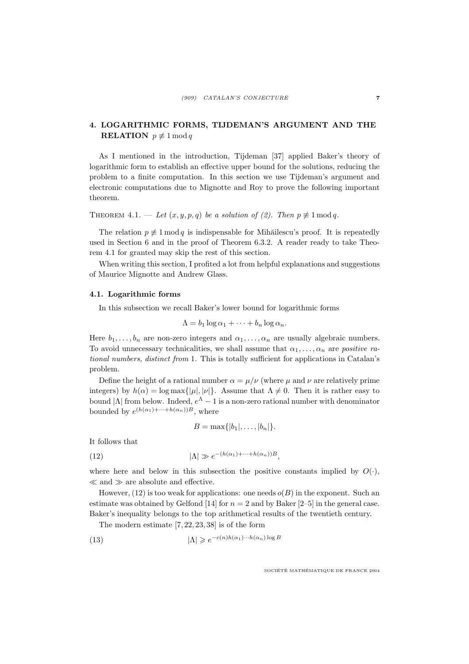# 4. LOGARITHMIC FORMS, TIJDEMAN'S ARGUMENT AND THE **RELATION**  $p \not\equiv 1 \mod q$

As I mentioned in the introduction, Tijdeman [37] applied Baker's theory of logarithmic form to establish an effective upper bound for the solutions, reducing the problem to a finite computation. In this section we use Tijdeman's argument and electronic computations due to Mignotte and Roy to prove the following important theorem.

THEOREM 4.1. — Let  $(x, y, p, q)$  be a solution of (2). Then  $p \not\equiv 1 \mod q$ .

The relation  $p \not\equiv 1 \mod q$  is indispensable for Mihăilescu's proof. It is repeatedly used in Section 6 and in the proof of Theorem 6.3.2. A reader ready to take Theorem 4.1 for granted may skip the rest of this section.

When writing this section, I profited a lot from helpful explanations and suggestions of Maurice Mignotte and Andrew Glass.

#### 4.1. Logarithmic forms

In this subsection we recall Baker's lower bound for logarithmic forms

$$
\Lambda = b_1 \log \alpha_1 + \cdots + b_n \log \alpha_n.
$$

Here  $b_1, \ldots, b_n$  are non-zero integers and  $\alpha_1, \ldots, \alpha_n$  are usually algebraic numbers. To avoid unnecessary technicalities, we shall assume that  $\alpha_1, \ldots, \alpha_n$  are *positive ra*tional numbers, distinct from 1. This is totally sufficient for applications in Catalan's problem.

Define the height of a rational number  $\alpha = \mu/\nu$  (where  $\mu$  and  $\nu$  are relatively prime integers) by  $h(\alpha) = \log \max\{|\mu|, |\nu|\}$ . Assume that  $\Lambda \neq 0$ . Then it is rather easy to bound  $|\Lambda|$  from below. Indeed,  $e^{\Lambda} - 1$  is a non-zero rational number with denominator bounded by  $e^{(h(\alpha_1)+\cdots+h(\alpha_n))B}$ , where

$$
B=\max\{|b_1|,\ldots,|b_n|\}.
$$

It follows that

(12) 
$$
|\Lambda| \gg e^{-(h(\alpha_1)+\cdots+h(\alpha_n))B},
$$

where here and below in this subsection the positive constants implied by  $O(\cdot)$ ,  $\ll$  and  $\gg$  are absolute and effective.

However,  $(12)$  is too weak for applications: one needs  $o(B)$  in the exponent. Such an estimate was obtained by Gelfond [14] for  $n = 2$  and by Baker [2–5] in the general case. Baker's inequality belongs to the top arithmetical results of the twentieth century.

The modern estimate [7, 22, 23, 38] is of the form

(13) 
$$
|\Lambda| \geqslant e^{-c(n)h(\alpha_1)\cdots h(\alpha_n)\log B}
$$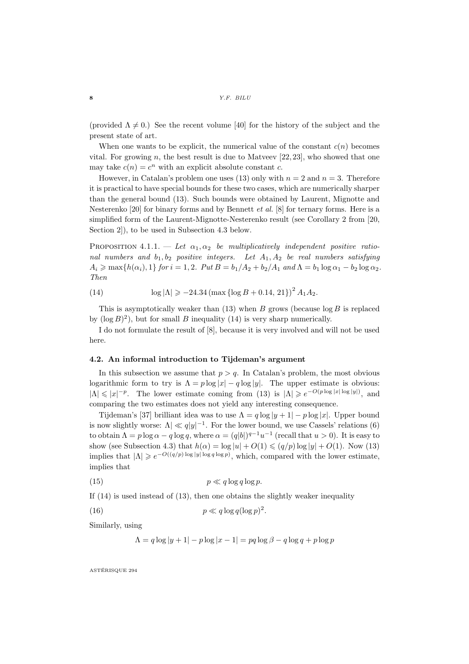(provided  $\Lambda \neq 0$ .) See the recent volume [40] for the history of the subject and the present state of art.

When one wants to be explicit, the numerical value of the constant  $c(n)$  becomes vital. For growing n, the best result is due to Matveev  $[22, 23]$ , who showed that one may take  $c(n) = c^n$  with an explicit absolute constant c.

However, in Catalan's problem one uses (13) only with  $n = 2$  and  $n = 3$ . Therefore it is practical to have special bounds for these two cases, which are numerically sharper than the general bound (13). Such bounds were obtained by Laurent, Mignotte and Nesterenko  $[20]$  for binary forms and by Bennett *et al.* [8] for ternary forms. Here is a simplified form of the Laurent-Mignotte-Nesterenko result (see Corollary 2 from [20, Section 2]), to be used in Subsection 4.3 below.

PROPOSITION 4.1.1. — Let  $\alpha_1, \alpha_2$  be multiplicatively independent positive rational numbers and  $b_1, b_2$  positive integers. Let  $A_1, A_2$  be real numbers satisfying  $A_i \ge \max\{h(\alpha_i), 1\}$  for  $i = 1, 2$ . Put  $B = b_1/A_2 + b_2/A_1$  and  $\Lambda = b_1 \log \alpha_1 - b_2 \log \alpha_2$ . Then

(14) 
$$
\log |\Lambda| \geq -24.34 \left( \max \left\{ \log B + 0.14, 21 \right\} \right)^2 A_1 A_2.
$$

This is asymptotically weaker than  $(13)$  when B grows (because  $\log B$  is replaced by  $(\log B)^2$ , but for small B inequality (14) is very sharp numerically.

I do not formulate the result of [8], because it is very involved and will not be used here.

#### 4.2. An informal introduction to Tijdeman's argument

In this subsection we assume that  $p > q$ . In Catalan's problem, the most obvious logarithmic form to try is  $\Lambda = p \log |x| - q \log |y|$ . The upper estimate is obvious:  $|\Lambda| \leqslant |x|^{-p}$ . The lower estimate coming from (13) is  $|\Lambda| \geqslant e^{-O(p \log |x| \log |y|)}$ , and comparing the two estimates does not yield any interesting consequence.

Tijdeman's [37] brilliant idea was to use  $\Lambda = q \log |y + 1| - p \log |x|$ . Upper bound is now slightly worse:  $\Lambda | \ll q |y|^{-1}$ . For the lower bound, we use Cassels' relations (6) to obtain  $\Lambda = p \log \alpha - q \log q$ , where  $\alpha = (q|b|)^{q-1}u^{-1}$  (recall that  $u > 0$ ). It is easy to show (see Subsection 4.3) that  $h(\alpha) = \log |u| + O(1) \leq (q/p) \log |y| + O(1)$ . Now (13) implies that  $|\Lambda| \geq e^{-O((q/p)\log|y|\log q\log p)}$ , which, compared with the lower estimate, implies that

$$
(15) \t\t\t p \ll q \log q \log p.
$$

If (14) is used instead of (13), then one obtains the slightly weaker inequality

$$
(16)\qquad \qquad p \ll q \log q(\log p)
$$

Similarly, using

$$
\Lambda = q \log |y + 1| - p \log |x - 1| = pq \log \beta - q \log q + p \log p
$$

2 .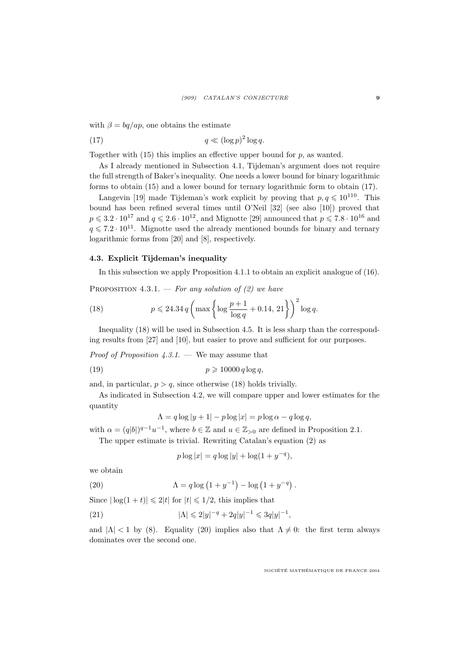with  $\beta = \frac{bq}{ap}$ , one obtains the estimate

(17) 
$$
q \ll (\log p)^2 \log q.
$$

Together with  $(15)$  this implies an effective upper bound for p, as wanted.

As I already mentioned in Subsection 4.1, Tijdeman's argument does not require the full strength of Baker's inequality. One needs a lower bound for binary logarithmic forms to obtain (15) and a lower bound for ternary logarithmic form to obtain (17).

Langevin [19] made Tijdeman's work explicit by proving that  $p, q \leq 10^{110}$ . This bound has been refined several times until O'Neil [32] (see also [10]) proved that  $p \leqslant 3.2 \cdot 10^{17}$  and  $q \leqslant 2.6 \cdot 10^{12}$ , and Mignotte [29] announced that  $p \leqslant 7.8 \cdot 10^{16}$  and  $q \leq 7.2 \cdot 10^{11}$ . Mignotte used the already mentioned bounds for binary and ternary logarithmic forms from [20] and [8], respectively.

#### 4.3. Explicit Tijdeman's inequality

In this subsection we apply Proposition 4.1.1 to obtain an explicit analogue of (16).

PROPOSITION 4.3.1. — For any solution of (2) we have

(18) 
$$
p \le 24.34 q \left( \max \left\{ \log \frac{p+1}{\log q} + 0.14, 21 \right\} \right)^2 \log q.
$$

Inequality (18) will be used in Subsection 4.5. It is less sharp than the corresponding results from [27] and [10], but easier to prove and sufficient for our purposes.

*Proof of Proposition 4.3.1.* — We may assume that

$$
(19) \t\t\t\t\t p \geqslant 10000 \, q \log q,
$$

and, in particular,  $p > q$ , since otherwise (18) holds trivially.

As indicated in Subsection 4.2, we will compare upper and lower estimates for the quantity

$$
\Lambda = q \log |y + 1| - p \log |x| = p \log \alpha - q \log q,
$$

with  $\alpha = (q|b|)^{q-1}u^{-1}$ , where  $b \in \mathbb{Z}$  and  $u \in \mathbb{Z}_{>0}$  are defined in Proposition 2.1.

The upper estimate is trivial. Rewriting Catalan's equation (2) as

$$
p \log |x| = q \log |y| + \log(1 + y^{-q}),
$$

we obtain

(20) 
$$
\Lambda = q \log (1 + y^{-1}) - \log (1 + y^{-q}).
$$

Since  $|\log(1+t)| \leq 2|t|$  for  $|t| \leq 1/2$ , this implies that

(21) 
$$
|\Lambda| \leq 2|y|^{-q} + 2q|y|^{-1} \leq 3q|y|^{-1},
$$

and  $|\Lambda| < 1$  by (8). Equality (20) implies also that  $\Lambda \neq 0$ : the first term always dominates over the second one.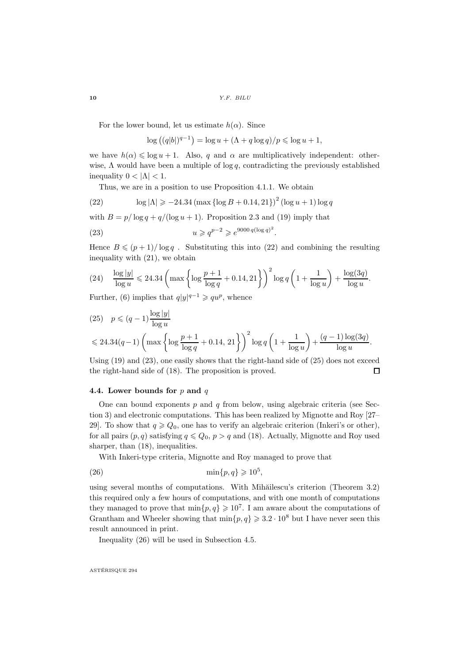$10$   $Y.F. \; BILU$ 

For the lower bound, let us estimate  $h(\alpha)$ . Since

 $\log ((q|b|)^{q-1}) = \log u + (\Lambda + q \log q)/p \leq \log u + 1,$ 

we have  $h(\alpha) \leq \log u + 1$ . Also, q and  $\alpha$  are multiplicatively independent: otherwise,  $\Lambda$  would have been a multiple of log q, contradicting the previously established inequality  $0 < |\Lambda| < 1$ .

Thus, we are in a position to use Proposition 4.1.1. We obtain

(22) 
$$
\log |\Lambda| \geq -24.34 \left( \max \left\{ \log B + 0.14, 21 \right\} \right)^2 \left( \log u + 1 \right) \log q
$$

with  $B = p/\log q + q/(\log u + 1)$ . Proposition 2.3 and (19) imply that

(23) 
$$
u \geqslant q^{p-2} \geqslant e^{9000 q(\log q)^2}
$$

Hence  $B \leqslant (p+1)/\log q$ . Substituting this into (22) and combining the resulting inequality with (21), we obtain

.

(24) 
$$
\frac{\log |y|}{\log u} \le 24.34 \left( \max \left\{ \log \frac{p+1}{\log q} + 0.14, 21 \right\} \right)^2 \log q \left( 1 + \frac{1}{\log u} \right) + \frac{\log(3q)}{\log u}.
$$

Further, (6) implies that  $q|y|^{q-1} \geqslant qu^p$ , whence

(25) 
$$
p \le (q - 1) \frac{\log |y|}{\log u}
$$
  
 $\le 24.34(q-1) \left( \max \left\{ \log \frac{p+1}{\log q} + 0.14, 21 \right\} \right)^2 \log q \left( 1 + \frac{1}{\log u} \right) + \frac{(q-1) \log(3q)}{\log u}.$ 

Using  $(19)$  and  $(23)$ , one easily shows that the right-hand side of  $(25)$  does not exceed the right-hand side of (18). The proposition is proved.  $\Box$ 

#### 4.4. Lower bounds for  $p$  and  $q$

One can bound exponents  $p$  and  $q$  from below, using algebraic criteria (see Section 3) and electronic computations. This has been realized by Mignotte and Roy [27– 29]. To show that  $q \geq Q_0$ , one has to verify an algebraic criterion (Inkeri's or other), for all pairs  $(p, q)$  satisfying  $q \leq Q_0$ ,  $p > q$  and (18). Actually, Mignotte and Roy used sharper, than  $(18)$ , inequalities.

With Inkeri-type criteria, Mignotte and Roy managed to prove that

$$
\min\{p,q\} \geqslant 10^5,
$$

using several months of computations. With Mihăilescu's criterion (Theorem 3.2) this required only a few hours of computations, and with one month of computations they managed to prove that  $\min\{p, q\} \geq 10^7$ . I am aware about the computations of Grantham and Wheeler showing that  $\min\{p, q\} \geq 3.2 \cdot 10^8$  but I have never seen this result announced in print.

Inequality (26) will be used in Subsection 4.5.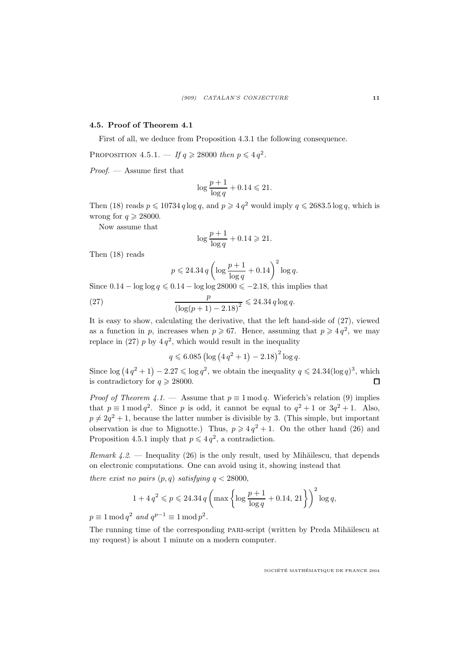## 4.5. Proof of Theorem 4.1

First of all, we deduce from Proposition 4.3.1 the following consequence.

PROPOSITION 4.5.1.  $-If q \ge 28000$  then  $p \le 4 q^2$ .

Proof. — Assume first that

$$
\log\frac{p+1}{\log q} + 0.14 \leqslant 21.
$$

Then (18) reads  $p \le 10734 q \log q$ , and  $p \ge 4 q^2$  would imply  $q \le 2683.5 \log q$ , which is wrong for  $q \ge 28000$ .

Now assume that

$$
\log\frac{p+1}{\log q} + 0.14 \geqslant 21.
$$

Then (18) reads

$$
p \leqslant 24.34 \, q \left(\log\frac{p+1}{\log q} + 0.14\right)^2 \log q.
$$

Since  $0.14 - \log \log q \le 0.14 - \log \log 28000 \le -2.18$ , this implies that

(27) 
$$
\frac{p}{(\log(p+1)-2.18)^2} \leq 24.34 q \log q.
$$

It is easy to show, calculating the derivative, that the left hand-side of (27), viewed as a function in p, increases when  $p \ge 67$ . Hence, assuming that  $p \ge 4q^2$ , we may replace in (27)  $p$  by  $4q^2$ , which would result in the inequality

$$
q \leqslant 6.085 \left( \log \left( 4 q^2 + 1 \right) - 2.18 \right)^2 \log q.
$$

Since  $\log (4q^2 + 1) - 2.27 \leq \log q^2$ , we obtain the inequality  $q \leq 24.34(\log q)^3$ , which is contradictory for  $q \ge 28000$ .  $\Box$ 

*Proof of Theorem 4.1.* — Assume that  $p \equiv 1 \mod q$ . Wieferich's relation (9) implies that  $p \equiv 1 \mod q^2$ . Since p is odd, it cannot be equal to  $q^2 + 1$  or  $3q^2 + 1$ . Also,  $p \neq 2q^2 + 1$ , because the latter number is divisible by 3. (This simple, but important observation is due to Mignotte.) Thus,  $p \geqslant 4q^2 + 1$ . On the other hand (26) and Proposition 4.5.1 imply that  $p \leq 4q^2$ , a contradiction.

Remark  $4.2.$  — Inequality (26) is the only result, used by Mihăilescu, that depends on electronic computations. One can avoid using it, showing instead that there exist no pairs  $(p, q)$  satisfying  $q < 28000$ ,

$$
1 + 4q^2 \leqslant p \leqslant 24.34 \, q \left( \max \left\{ \log \frac{p+1}{\log q} + 0.14, \, 21 \right\} \right)^2 \log q,
$$

 $p \equiv 1 \mod q^2$  and  $q^{p-1} \equiv 1 \mod p^2$ .

The running time of the corresponding PARI-script (written by Preda Mihăilescu at my request) is about 1 minute on a modern computer.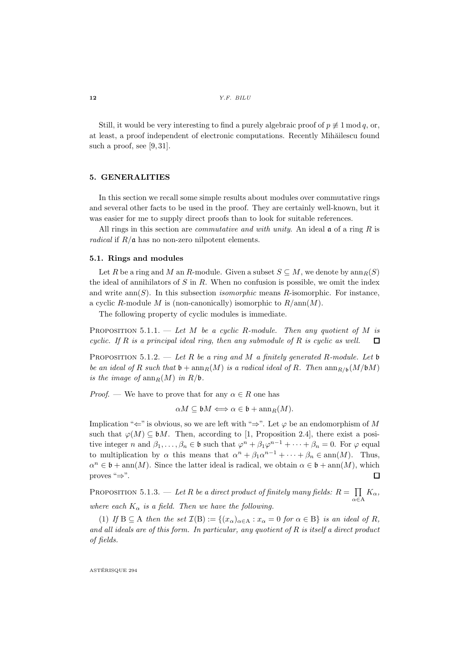Still, it would be very interesting to find a purely algebraic proof of  $p \not\equiv 1 \mod q$ , or, at least, a proof independent of electronic computations. Recently Mihăilescu found such a proof, see [9, 31].

## 5. GENERALITIES

In this section we recall some simple results about modules over commutative rings and several other facts to be used in the proof. They are certainly well-known, but it was easier for me to supply direct proofs than to look for suitable references.

All rings in this section are *commutative and with unity*. An ideal  $\mathfrak{a}$  of a ring R is *radical* if  $R/\mathfrak{a}$  has no non-zero nilpotent elements.

#### 5.1. Rings and modules

Let R be a ring and M an R-module. Given a subset  $S \subseteq M$ , we denote by  $\text{ann}_R(S)$ the ideal of annihilators of  $S$  in  $R$ . When no confusion is possible, we omit the index and write  $\text{ann}(S)$ . In this subsection *isomorphic* means R-isomorphic. For instance, a cyclic R-module M is (non-canonically) isomorphic to  $R/\text{ann}(M)$ .

The following property of cyclic modules is immediate.

PROPOSITION 5.1.1. — Let M be a cyclic R-module. Then any quotient of M is cyclic. If  $R$  is a principal ideal ring, then any submodule of  $R$  is cyclic as well.  $\Box$ 

PROPOSITION 5.1.2. — Let R be a ring and M a finitely generated R-module. Let b be an ideal of R such that  $\mathfrak{b}$  + ann  $_R(M)$  is a radical ideal of R. Then  $\dim_{R/b}(M/\mathfrak{b}M)$ is the image of  $\operatorname{ann}_R(M)$  in  $R/\mathfrak{b}$ .

*Proof.* — We have to prove that for any  $\alpha \in R$  one has

 $\alpha M \subseteq \mathfrak{b}M \Longleftrightarrow \alpha \in \mathfrak{b} + \operatorname{ann}_R(M).$ 

Implication " $\Leftarrow$ " is obvious, so we are left with " $\Rightarrow$ ". Let  $\varphi$  be an endomorphism of M such that  $\varphi(M) \subseteq \mathfrak{b}M$ . Then, according to [1, Proposition 2.4], there exist a positive integer n and  $\beta_1, \ldots, \beta_n \in \mathfrak{b}$  such that  $\varphi^n + \beta_1 \varphi^{n-1} + \cdots + \beta_n = 0$ . For  $\varphi$  equal to multiplication by  $\alpha$  this means that  $\alpha^n + \beta_1 \alpha^{n-1} + \cdots + \beta_n \in \text{ann}(M)$ . Thus,  $\alpha^n \in \mathfrak{b} + \text{ann}(M)$ . Since the latter ideal is radical, we obtain  $\alpha \in \mathfrak{b} + \text{ann}(M)$ , which proves "⇒". П

PROPOSITION 5.1.3. — Let R be a direct product of finitely many fields:  $R = \prod$  $\prod_{\alpha\in A} K_{\alpha},$ where each  $K_{\alpha}$  is a field. Then we have the following.

(1) If  $B \subseteq A$  then the set  $\mathcal{I}(B) := \{(x_\alpha)_{\alpha \in A} : x_\alpha = 0 \text{ for } \alpha \in B\}$  is an ideal of R, and all ideals are of this form. In particular, any quotient of  $R$  is itself a direct product of fields.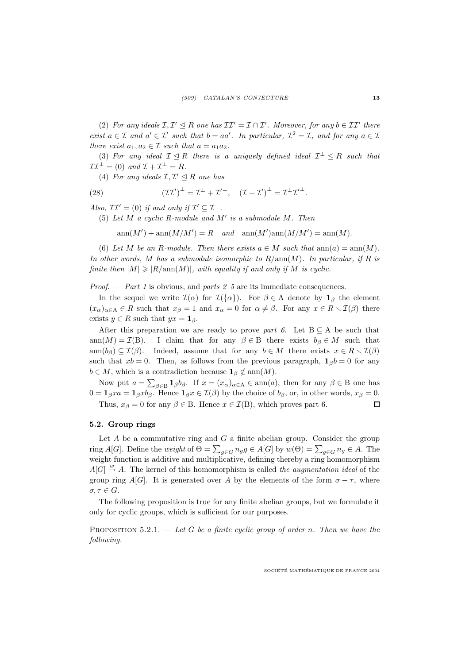(2) For any ideals  $\mathcal{I}, \mathcal{I}' \leq R$  one has  $\mathcal{I}\mathcal{I}' = \mathcal{I} \cap \mathcal{I}'$ . Moreover, for any  $b \in \mathcal{I}\mathcal{I}'$  there exist  $a \in \mathcal{I}$  and  $a' \in \mathcal{I}'$  such that  $b = aa'$ . In particular,  $\mathcal{I}^2 = \mathcal{I}$ , and for any  $a \in \mathcal{I}$ there exist  $a_1, a_2 \in \mathcal{I}$  such that  $a = a_1 a_2$ .

(3) For any ideal  $\mathcal{I} \leq R$  there is a uniquely defined ideal  $\mathcal{I}^{\perp} \leq R$  such that  $\mathcal{II}^{\perp} = (0) \text{ and } \mathcal{I} + \mathcal{I}^{\perp} = R.$ 

(4) For any ideals  $\mathcal{I}, \mathcal{I}' \leq R$  one has

(28) 
$$
(\mathcal{I}\mathcal{I}')^{\perp} = \mathcal{I}^{\perp} + \mathcal{I}'^{\perp}, \quad (\mathcal{I} + \mathcal{I}')^{\perp} = \mathcal{I}^{\perp} \mathcal{I}'^{\perp}.
$$

Also,  $\mathcal{II}' = (0)$  if and only if  $\mathcal{I}' \subseteq \mathcal{I}^{\perp}$ .

(5) Let  $M$  a cyclic R-module and  $M'$  is a submodule  $M$ . Then

 $ann(M') + ann(M/M') = R$  and  $ann(M')ann(M/M') = ann(M)$ .

(6) Let M be an R-module. Then there exists  $a \in M$  such that  $ann(a) = ann(M)$ . In other words, M has a submodule isomorphic to  $R/\text{ann}(M)$ . In particular, if R is finite then  $|M| \geq R/\text{ann}(M)|$ , with equality if and only if M is cyclic.

*Proof.* — *Part 1* is obvious, and *parts 2–5* are its immediate consequences.

In the sequel we write  $\mathcal{I}(\alpha)$  for  $\mathcal{I}(\{\alpha\})$ . For  $\beta \in A$  denote by  $\mathbf{1}_{\beta}$  the element  $(x_{\alpha})_{\alpha\in A}\in R$  such that  $x_{\beta}=1$  and  $x_{\alpha}=0$  for  $\alpha\neq\beta$ . For any  $x\in R\setminus I(\beta)$  there exists  $y \in R$  such that  $yx = \mathbf{1}_{\beta}$ .

After this preparation we are ready to prove part 6. Let  $B \subseteq A$  be such that ann $(M) = \mathcal{I}(B)$ . I claim that for any  $\beta \in B$  there exists  $b_{\beta} \in M$  such that ann $(b_{\beta}) \subseteq \mathcal{I}(\beta)$ . Indeed, assume that for any  $b \in M$  there exists  $x \in R \setminus \mathcal{I}(\beta)$ such that  $xb = 0$ . Then, as follows from the previous paragraph,  $\mathbf{1}_{\beta}b = 0$  for any  $b \in M$ , which is a contradiction because  $\mathbf{1}_{\beta} \notin \text{ann}(M)$ .

Now put  $a = \sum_{\beta \in B} \mathbf{1}_{\beta} b_{\beta}$ . If  $x = (x_{\alpha})_{\alpha \in A} \in \text{ann}(a)$ , then for any  $\beta \in B$  one has  $0 = \mathbf{1}_{\beta} xa = \mathbf{1}_{\beta} xb_{\beta}$ . Hence  $\mathbf{1}_{\beta} x \in \mathcal{I}(\beta)$  by the choice of  $b_{\beta}$ , or, in other words,  $x_{\beta} = 0$ . Thus,  $x_{\beta} = 0$  for any  $\beta \in B$ . Hence  $x \in \mathcal{I}(B)$ , which proves part 6.  $\Box$ 

#### 5.2. Group rings

Let  $A$  be a commutative ring and  $G$  a finite abelian group. Consider the group ring A[G]. Define the weight of  $\Theta = \sum_{g \in G} n_g g \in A[G]$  by  $w(\Theta) = \sum_{g \in G} n_g \in A$ . The weight function is additive and multiplicative, defining thereby a ring homomorphism  $A[G] \stackrel{w}{\rightarrow} A$ . The kernel of this homomorphism is called the *augmentation ideal* of the group ring A[G]. It is generated over A by the elements of the form  $\sigma - \tau$ , where  $\sigma, \tau \in G$ .

The following proposition is true for any finite abelian groups, but we formulate it only for cyclic groups, which is sufficient for our purposes.

PROPOSITION 5.2.1. — Let G be a finite cyclic group of order n. Then we have the following.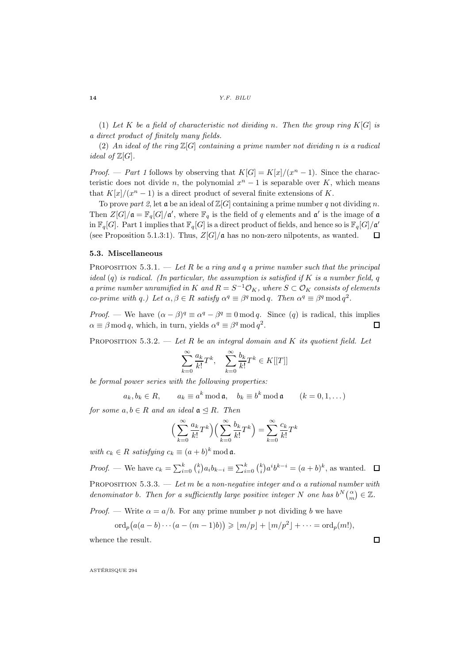(1) Let K be a field of characteristic not dividing n. Then the group ring  $K[G]$  is a direct product of finitely many fields.

(2) An ideal of the ring  $\mathbb{Z}[G]$  containing a prime number not dividing n is a radical *ideal of*  $\mathbb{Z}[G]$ .

*Proof.* — *Part 1* follows by observing that  $K[G] = K[x]/(x^n - 1)$ . Since the characteristic does not divide n, the polynomial  $x<sup>n</sup> - 1$  is separable over K, which means that  $K[x]/(x^n - 1)$  is a direct product of several finite extensions of K.

To prove part 2, let  $\mathfrak{a}$  be an ideal of  $\mathbb{Z}[G]$  containing a prime number q not dividing n. Then  $Z[G]/\mathfrak{a} = \mathbb{F}_q[G]/\mathfrak{a}'$ , where  $\mathbb{F}_q$  is the field of q elements and  $\mathfrak{a}'$  is the image of  $\mathfrak{a}$ in  $\mathbb{F}_q[G]$ . Part 1 implies that  $\mathbb{F}_q[G]$  is a direct product of fields, and hence so is  $\mathbb{F}_q[G]/\mathfrak{a}'$ (see Proposition 5.1.3:1). Thus,  $Z[G]/\mathfrak{a}$  has no non-zero nilpotents, as wanted. П

#### 5.3. Miscellaneous

PROPOSITION 5.3.1. — Let R be a ring and q a prime number such that the principal ideal  $(q)$  is radical. (In particular, the assumption is satisfied if K is a number field, q a prime number unramified in K and  $R = S^{-1} \mathcal{O}_K$ , where  $S \subset \mathcal{O}_K$  consists of elements co-prime with q.) Let  $\alpha, \beta \in R$  satisfy  $\alpha^q \equiv \beta^q \mod q$ . Then  $\alpha^q \equiv \beta^q \mod q^2$ .

*Proof.* — We have  $(\alpha - \beta)^q \equiv \alpha^q - \beta^q \equiv 0 \mod q$ . Since  $(q)$  is radical, this implies  $\alpha \equiv \beta \mod q$ , which, in turn, yields  $\alpha^q \equiv \beta^q \mod q^2$ .

PROPOSITION 5.3.2. — Let R be an integral domain and K its quotient field. Let

$$
\sum_{k=0}^{\infty} \frac{a_k}{k!} T^k, \quad \sum_{k=0}^{\infty} \frac{b_k}{k!} T^k \in K[[T]]
$$

be formal power series with the following properties:

 $a_k, b_k \in R$ ,  $a_k \equiv a^k \mod \mathfrak{a}$ ,  $b_k \equiv b^k \mod \mathfrak{a}$   $(k = 0, 1, ...)$ 

for some  $a, b \in R$  and an ideal  $a \triangleleft R$ . Then

$$
\left(\sum_{k=0}^{\infty} \frac{a_k}{k!} T^k\right) \left(\sum_{k=0}^{\infty} \frac{b_k}{k!} T^k\right) = \sum_{k=0}^{\infty} \frac{c_k}{k!} T^k
$$

with  $c_k \in R$  satisfying  $c_k \equiv (a+b)^k \mod \mathfrak{a}$ .

*Proof.* — We have  $c_k = \sum_{i=0}^k {k \choose i} a_i b_{k-i} \equiv \sum_{i=0}^k {k \choose i} a^i b^{k-i} = (a+b)^k$ , as wanted.

PROPOSITION 5.3.3. — Let m be a non-negative integer and  $\alpha$  a rational number with denominator b. Then for a sufficiently large positive integer N one has  $b^N\binom{\alpha}{m}\in\mathbb{Z}$ .

*Proof.* — Write  $\alpha = a/b$ . For any prime number p not dividing b we have

$$
\mathrm{ord}_p\big(a(a-b)\cdots(a-(m-1)b)\big)\geqslant \lfloor m/p\rfloor+\lfloor m/p^2\rfloor+\cdots=\mathrm{ord}_p(m!).
$$

whence the result.

ASTÉRISQUE 294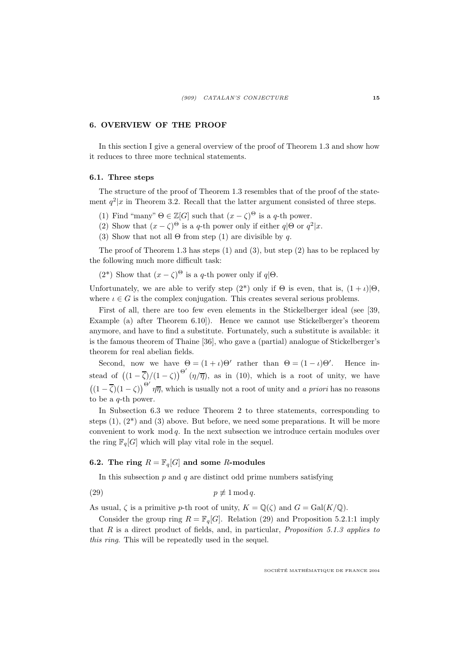# 6. OVERVIEW OF THE PROOF

In this section I give a general overview of the proof of Theorem 1.3 and show how it reduces to three more technical statements.

#### 6.1. Three steps

The structure of the proof of Theorem 1.3 resembles that of the proof of the statement  $q^2|x$  in Theorem 3.2. Recall that the latter argument consisted of three steps.

- (1) Find "many"  $\Theta \in \mathbb{Z}[G]$  such that  $(x \zeta)^{\Theta}$  is a q-th power.
- (2) Show that  $(x \zeta)^{\Theta}$  is a q-th power only if either  $q|\Theta$  or  $q^2|x$ .
- (3) Show that not all  $\Theta$  from step (1) are divisible by q.

The proof of Theorem 1.3 has steps  $(1)$  and  $(3)$ , but step  $(2)$  has to be replaced by the following much more difficult task:

(2<sup>\*</sup>) Show that  $(x - \zeta)^{\Theta}$  is a q-th power only if  $q|\Theta$ .

Unfortunately, we are able to verify step  $(2^*)$  only if  $\Theta$  is even, that is,  $(1 + \iota)|\Theta$ , where  $\iota \in G$  is the complex conjugation. This creates several serious problems.

First of all, there are too few even elements in the Stickelberger ideal (see [39, Example (a) after Theorem 6.10]). Hence we cannot use Stickelberger's theorem anymore, and have to find a substitute. Fortunately, such a substitute is available: it is the famous theorem of Thaine [36], who gave a (partial) analogue of Stickelberger's theorem for real abelian fields.

Second, now we have  $\Theta = (1 + \iota)\Theta'$  rather than  $\Theta = (1 - \iota)\Theta'$ . Hence instead of  $((1 - \overline{\zeta})/(1 - \zeta))^{i} (\eta/\overline{\eta})$ , as in (10), which is a root of unity, we have  $((1 - \overline{\zeta})(1 - \zeta))^{\Theta'} \eta \overline{\eta}$ , which is usually not a root of unity and *a priori* has no reasons to be a  $q$ -th power.

In Subsection 6.3 we reduce Theorem 2 to three statements, corresponding to steps  $(1)$ ,  $(2^*)$  and  $(3)$  above. But before, we need some preparations. It will be more convenient to work mod q. In the next subsection we introduce certain modules over the ring  $\mathbb{F}_q[G]$  which will play vital role in the sequel.

# 6.2. The ring  $R = \mathbb{F}_q[G]$  and some R-modules

In this subsection  $p$  and  $q$  are distinct odd prime numbers satisfying

$$
(29) \t\t\t\t\t p \not\equiv 1 \bmod q.
$$

As usual,  $\zeta$  is a primitive p-th root of unity,  $K = \mathbb{Q}(\zeta)$  and  $G = \text{Gal}(K/\mathbb{Q})$ .

Consider the group ring  $R = \mathbb{F}_q[G]$ . Relation (29) and Proposition 5.2.1:1 imply that  $R$  is a direct product of fields, and, in particular, *Proposition 5.1.3 applies to* this ring. This will be repeatedly used in the sequel.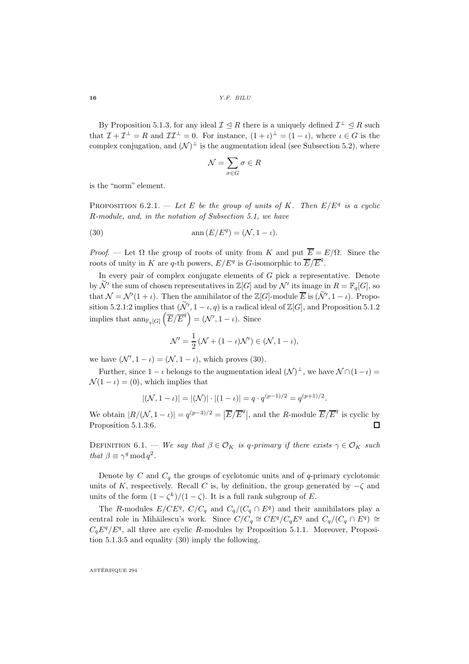$16$   $Y.F. \; BILU$ 

By Proposition 5.1.3, for any ideal  $\mathcal{I} \leq R$  there is a uniquely defined  $\mathcal{I}^{\perp} \leq R$  such that  $\mathcal{I} + \mathcal{I}^{\perp} = R$  and  $\mathcal{I} \mathcal{I}^{\perp} = 0$ . For instance,  $(1 + \iota)^{\perp} = (1 - \iota)$ , where  $\iota \in G$  is the complex conjugation, and  $(\mathcal{N})^{\perp}$  is the augmentation ideal (see Subsection 5.2), where

$$
\mathcal{N}=\sum_{\sigma\in G}\sigma\in R
$$

is the "norm" element.

PROPOSITION 6.2.1. — Let E be the group of units of K. Then  $E/E^q$  is a cyclic R-module, and, in the notation of Subsection 5.1, we have

(30) 
$$
\operatorname{ann}(E/E^q) = (\mathcal{N}, 1 - \iota).
$$

Proof. — Let  $\Omega$  the group of roots of unity from K and put  $\overline{E} = E/\Omega$ . Since the roots of unity in K are q-th powers,  $E/E^q$  is G-isomorphic to  $\overline{E}/\overline{E}^q$ .

In every pair of complex conjugate elements of  $G$  pick a representative. Denote by  $\mathcal{N}'$  the sum of chosen representatives in  $\mathbb{Z}[G]$  and by  $\mathcal{N}'$  its image in  $R = \mathbb{F}_q[G]$ , so that  $\mathcal{N} = \mathcal{N}'(1 + \iota)$ . Then the annihilator of the  $\mathbb{Z}[G]$ -module  $\overline{E}$  is  $(\widetilde{\mathcal{N}}', 1 - \iota)$ . Proposition 5.2.1:2 implies that  $(\tilde{\mathcal{N}}', 1 - \iota, q)$  is a radical ideal of  $\mathbb{Z}[G]$ , and Proposition 5.1.2 implies that  $\text{ann}_{\mathbb{F}_q[G]}\left(\overline{E}/\overline{E}^q\right) = (\mathcal{N}', 1 - \iota)$ . Since

$$
\mathcal{N}' = \frac{1}{2} \left( \mathcal{N} + (1 - \iota)\mathcal{N}' \right) \in (\mathcal{N}, 1 - \iota),
$$

we have  $(\mathcal{N}', 1 - \iota) = (\mathcal{N}, 1 - \iota)$ , which proves (30).

Further, since  $1 - \iota$  belongs to the augmentation ideal  $(\mathcal{N})^{\perp}$ , we have  $\mathcal{N} \cap (1 - \iota) =$  $\mathcal{N}(1 - \iota) = (0)$ , which implies that

$$
|(\mathcal{N}, 1 - \iota)| = |(\mathcal{N})| \cdot |(1 - \iota)| = q \cdot q^{(p-1)/2} = q^{(p+1)/2}.
$$

We obtain  $|R/(\mathcal{N}, 1 - \iota)| = q^{(p-3)/2} = |\overline{E}/\overline{E}^{q}|$ , and the R-module  $\overline{E}/\overline{E}^{q}$  is cyclic by Proposition 5.1.3:6.  $\Box$ 

DEFINITION 6.1. — We say that  $\beta \in \mathcal{O}_K$  is q-primary if there exists  $\gamma \in \mathcal{O}_K$  such that  $\beta \equiv \gamma^q \mod q^2$ .

Denote by C and  $C_q$  the groups of cyclotomic units and of q-primary cyclotomic units of K, respectively. Recall C is, by definition, the group generated by  $-\zeta$  and units of the form  $(1 - \zeta^k)/(1 - \zeta)$ . It is a full rank subgroup of E.

The R-modules  $E/CE^q$ ,  $C/C_q$  and  $C_q/(C_q \cap E^q)$  and their annihilators play a central role in Mihăilescu's work. Since  $C/C_q \cong CE^q/C_qE^q$  and  $C_q/(C_q \cap E^q) \cong$  $C_qE^q/E^q$ , all three are cyclic R-modules by Proposition 5.1.1. Moreover, Proposition 5.1.3:5 and equality (30) imply the following.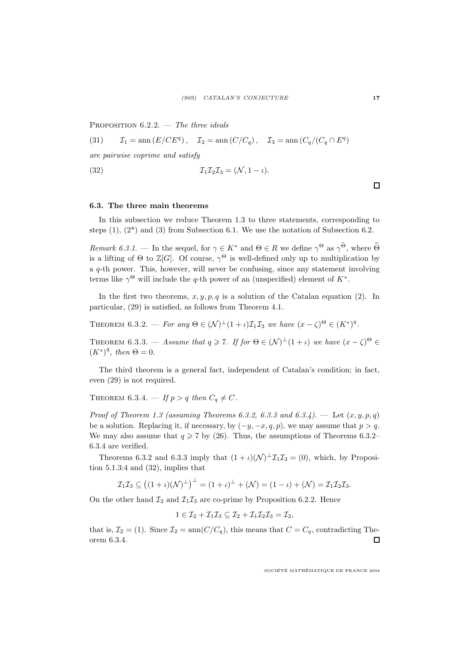PROPOSITION  $6.2.2.$  — The three ideals

(31) 
$$
\mathcal{I}_1 = \operatorname{ann}(E/CE^q), \quad \mathcal{I}_2 = \operatorname{ann}(C/C_q), \quad \mathcal{I}_3 = \operatorname{ann}(C_q/(C_q \cap E^q))
$$

are pairwise coprime and satisfy

$$
\mathcal{I}_1 \mathcal{I}_2 \mathcal{I}_3 = (\mathcal{N}, 1 - \iota).
$$

# 6.3. The three main theorems

In this subsection we reduce Theorem 1.3 to three statements, corresponding to steps  $(1)$ ,  $(2^*)$  and  $(3)$  from Subsection 6.1. We use the notation of Subsection 6.2.

Remark 6.3.1. — In the sequel, for  $\gamma \in K^*$  and  $\Theta \in R$  we define  $\gamma^{\Theta}$  as  $\gamma^{\Theta}$ , where  $\Theta$ is a lifting of  $\Theta$  to  $\mathbb{Z}[G]$ . Of course,  $\gamma^{\Theta}$  is well-defined only up to multiplication by a  $q$ -th power. This, however, will never be confusing, since any statement involving terms like  $\gamma^{\Theta}$  will include the q-th power of an (unspecified) element of  $K^*$ .

In the first two theorems,  $x, y, p, q$  is a solution of the Catalan equation (2). In particular, (29) is satisfied, as follows from Theorem 4.1.

THEOREM 6.3.2. — For any  $\Theta \in (\mathcal{N})^{\perp} (1 + \iota) \mathcal{I}_{1} \mathcal{I}_{3}$  we have  $(x - \zeta)^{\Theta} \in (K^{*})^{q}$ .

THEOREM 6.3.3. — Assume that  $q \geq 7$ . If for  $\Theta \in (\mathcal{N})^{\perp}(1 + \iota)$  we have  $(x - \zeta)^{\Theta} \in$  $(K^*)^q$ , then  $\Theta = 0$ .

The third theorem is a general fact, independent of Catalan's condition; in fact, even (29) is not required.

THEOREM 6.3.4.  $-$  If  $p > q$  then  $C_q \neq C$ .

Proof of Theorem 1.3 (assuming Theorems 6.3.2, 6.3.3 and 6.3.4). - Let  $(x, y, p, q)$ be a solution. Replacing it, if necessary, by  $(-y, -x, q, p)$ , we may assume that  $p > q$ . We may also assume that  $q \ge 7$  by (26). Thus, the assumptions of Theorems 6.3.2– 6.3.4 are verified.

Theorems 6.3.2 and 6.3.3 imply that  $(1 + \iota)(\mathcal{N})^{\perp} \mathcal{I}_1 \mathcal{I}_3 = (0)$ , which, by Proposition  $5.1.3:4$  and  $(32)$ , implies that

$$
\mathcal{I}_1\mathcal{I}_3 \subseteq ((1+\iota)(\mathcal{N})^{\perp})^{\perp} = (1+\iota)^{\perp} + (\mathcal{N}) = (1-\iota) + (\mathcal{N}) = \mathcal{I}_1\mathcal{I}_2\mathcal{I}_3.
$$

On the other hand  $\mathcal{I}_2$  and  $\mathcal{I}_1\mathcal{I}_3$  are co-prime by Proposition 6.2.2. Hence

$$
1\in\mathcal{I}_2+\mathcal{I}_1\mathcal{I}_3\subseteq\mathcal{I}_2+\mathcal{I}_1\mathcal{I}_2\mathcal{I}_3=\mathcal{I}_2,
$$

that is,  $\mathcal{I}_2 = (1)$ . Since  $\mathcal{I}_2 = \text{ann}(C/C_q)$ , this means that  $C = C_q$ , contradicting Theorem 6.3.4. orem 6.3.4.

SOCIÉTÉ MATHÉMATIQUE DE FRANCE 2004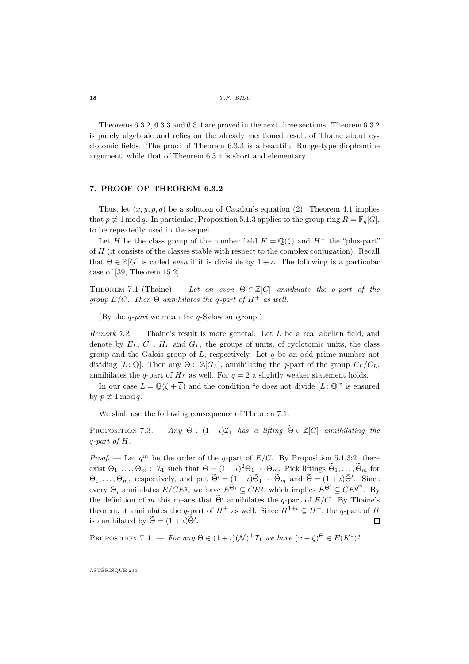$18$  *Y.F. BILU* 

Theorems 6.3.2, 6.3.3 and 6.3.4 are proved in the next three sections. Theorem 6.3.2 is purely algebraic and relies on the already mentioned result of Thaine about cyclotomic fields. The proof of Theorem 6.3.3 is a beautiful Runge-type diophantine argument, while that of Theorem 6.3.4 is short and elementary.

## 7. PROOF OF THEOREM 6.3.2

Thus, let  $(x, y, p, q)$  be a solution of Catalan's equation (2). Theorem 4.1 implies that  $p \not\equiv 1 \mod q$ . In particular, Proposition 5.1.3 applies to the group ring  $R = \mathbb{F}_q[G]$ , to be repeatedly used in the sequel.

Let H be the class group of the number field  $K = \mathbb{Q}(\zeta)$  and  $H^+$  the "plus-part" of  $H$  (it consists of the classes stable with respect to the complex conjugation). Recall that  $\Theta \in \mathbb{Z}[G]$  is called *even* if it is divisible by  $1 + \iota$ . The following is a particular case of [39, Theorem 15.2].

THEOREM 7.1 (Thaine). — Let an even  $\Theta \in \mathbb{Z}[G]$  annihilate the q-part of the group  $E/C$ . Then  $\Theta$  annihilates the q-part of  $H^+$  as well.

(By the q-part we mean the q-Sylow subgroup.)

*Remark* 7.2. — Thaine's result is more general. Let L be a real abelian field, and denote by  $E_L$ ,  $C_L$ ,  $H_L$  and  $G_L$ , the groups of units, of cyclotomic units, the class group and the Galois group of  $L$ , respectively. Let  $q$  be an odd prime number not dividing  $[L: \mathbb{Q}]$ . Then any  $\Theta \in \mathbb{Z}[G_L]$ , annihilating the q-part of the group  $E_L/C_L$ , annihilates the q-part of  $H_L$  as well. For  $q = 2$  a slightly weaker statement holds.

In our case  $L = \mathbb{Q}(\zeta + \overline{\zeta})$  and the condition "q does not divide  $[L: \mathbb{Q}]$ " is ensured by  $p \not\equiv 1 \mod q$ .

We shall use the following consequence of Theorem 7.1.

PROPOSITION 7.3. — Any  $\Theta \in (1 + i)\mathcal{I}_1$  has a lifting  $\widetilde{\Theta} \in \mathbb{Z}[G]$  annihilating the q-part of H.

*Proof.* — Let  $q^m$  be the order of the q-part of  $E/C$ . By Proposition 5.1.3:2, there exist  $\Theta_1,\ldots,\Theta_m\in\mathcal{I}_1$  such that  $\Theta=(1+\iota)^2\Theta_1\cdots\Theta_m$ . Pick liftings  $\widetilde{\Theta}_1,\ldots,\widetilde{\Theta}_m$  for  $\Theta_1, \ldots, \Theta_m$ , respectively, and put  $\Theta' = (1 + \iota)\Theta_1 \cdots \Theta_m$  and  $\Theta = (1 + \iota)\Theta'$ . Since every  $\Theta_i$  annihilates  $E/CE^q$ , we have  $E^{\tilde{\Theta}_i} \subseteq CE^q$ , which implies  $E^{\tilde{\Theta}'} \subseteq CE^{q^m}$ . By the definition of m this means that  $\widetilde{\Theta}'$  annihilates the q-part of  $E/C$ . By Thaine's theorem, it annihilates the q-part of  $H^+$  as well. Since  $H^{1+\iota} \subseteq H^+$ , the q-part of H is annihilated by  $\widetilde{\Theta} = (1+\iota)\widetilde{\Theta}'$ . is annihilated by  $\hat{\Theta} = (1 + \iota)\hat{\Theta}'$ .

PROPOSITION 7.4. — For any  $\Theta \in (1 + \iota)(\mathcal{N})^{\perp} \mathcal{I}_1$  we have  $(x - \zeta)^{\Theta} \in E(K^*)^q$ .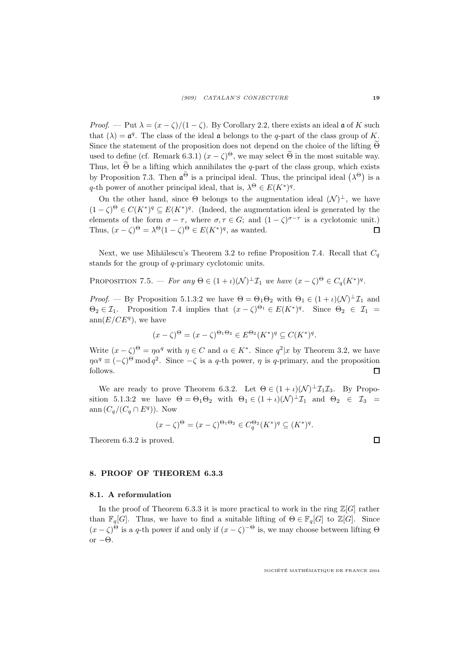*Proof.* — Put  $\lambda = (x - \zeta)/(1 - \zeta)$ . By Corollary 2.2, there exists an ideal  $\mathfrak{a}$  of K such that  $(\lambda) = \mathfrak{a}^q$ . The class of the ideal  $\mathfrak{a}$  belongs to the q-part of the class group of K. Since the statement of the proposition does not depend on the choice of the lifting  $\widetilde{\Theta}$ used to define (cf. Remark 6.3.1)  $(x - \zeta)^{\Theta}$ , we may select  $\tilde{\Theta}$  in the most suitable way. Thus, let  $\widetilde{\Theta}$  be a lifting which annihilates the q-part of the class group, which exists by Proposition 7.3. Then  $\mathfrak{a}^{\tilde{\Theta}}$  is a principal ideal. Thus, the principal ideal  $(\lambda^{\Theta})$  is a q-th power of another principal ideal, that is,  $\lambda^{\Theta} \in E(K^*)^q$ .

On the other hand, since  $\Theta$  belongs to the augmentation ideal  $(\mathcal{N})^{\perp}$ , we have  $(1 - \zeta)^{\Theta} \in C(K^*)^q \subseteq E(K^*)^q$ . (Indeed, the augmentation ideal is generated by the elements of the form  $\sigma - \tau$ , where  $\sigma, \tau \in G$ ; and  $(1 - \zeta)^{\sigma - \tau}$  is a cyclotomic unit.) Thus,  $(x - \zeta)^{\Theta} = \lambda^{\Theta} (1 - \zeta)^{\Theta} \in E(K^*)^q$ , as wanted.  $\Box$ 

Next, we use Mihăilescu's Theorem 3.2 to refine Proposition 7.4. Recall that  $C_q$ stands for the group of q-primary cyclotomic units.

PROPOSITION 7.5. — For any  $\Theta \in (1 + \iota)(\mathcal{N})^{\perp} \mathcal{I}_1$  we have  $(x - \zeta)^{\Theta} \in C_q(K^*)^q$ .

*Proof.* — By Proposition 5.1.3:2 we have  $\Theta = \Theta_1 \Theta_2$  with  $\Theta_1 \in (1 + \iota)(\mathcal{N})^{\perp} \mathcal{I}_1$  and  $\Theta_2 \in \mathcal{I}_1$ . Proposition 7.4 implies that  $(x - \zeta)^{\Theta_1} \in E(K^*)^q$ . Since  $\Theta_2 \in \mathcal{I}_1$  $ann(E/CE^q)$ , we have

$$
(x - \zeta)^{\Theta} = (x - \zeta)^{\Theta_1 \Theta_2} \in E^{\Theta_2}(K^*)^q \subseteq C(K^*)^q.
$$

Write  $(x - \zeta)^{\Theta} = \eta \alpha^q$  with  $\eta \in C$  and  $\alpha \in K^*$ . Since  $q^2 | x$  by Theorem 3.2, we have  $\eta \alpha^q \equiv (-\zeta)^{\Theta} \mod q^2$ . Since  $-\zeta$  is a q-th power,  $\eta$  is q-primary, and the proposition follows.

We are ready to prove Theorem 6.3.2. Let  $\Theta \in (1 + \iota)(\mathcal{N})^{\perp} \mathcal{I}_{1} \mathcal{I}_{3}$ . By Proposition 5.1.3:2 we have  $\Theta = \Theta_1 \Theta_2$  with  $\Theta_1 \in (1 + \iota)(\mathcal{N})^{\perp} \mathcal{I}_1$  and  $\Theta_2 \in \mathcal{I}_3 =$ ann  $(C_q/(C_q \cap E^q))$ . Now

$$
(x-\zeta)^{\Theta} = (x-\zeta)^{\Theta_1 \Theta_2} \in C_q^{\Theta_2} (K^*)^q \subseteq (K^*)^q.
$$

Theorem 6.3.2 is proved.

#### 8. PROOF OF THEOREM 6.3.3

### 8.1. A reformulation

In the proof of Theorem 6.3.3 it is more practical to work in the ring  $\mathbb{Z}[G]$  rather than  $\mathbb{F}_q[G]$ . Thus, we have to find a suitable lifting of  $\Theta \in \mathbb{F}_q[G]$  to  $\mathbb{Z}[G]$ . Since  $(x - \zeta)^{\Theta}$  is a q-th power if and only if  $(x - \zeta)^{-\Theta}$  is, we may choose between lifting  $\Theta$ or  $-\Theta$ .

SOCIÉTÉ MATHÉMATIQUE DE FRANCE 2004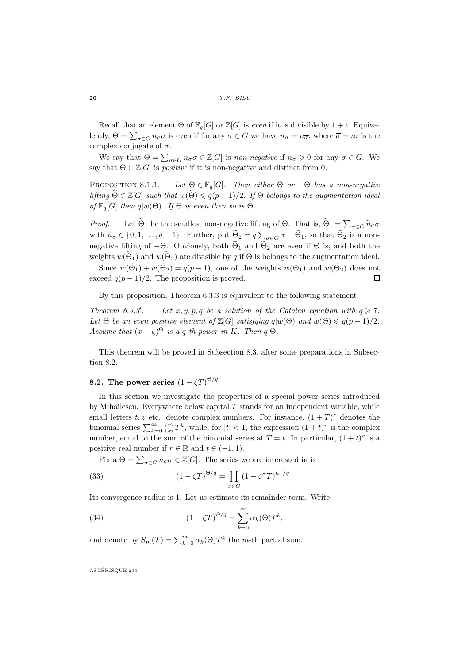Recall that an element  $\Theta$  of  $\mathbb{F}_q[G]$  or  $\mathbb{Z}[G]$  is *even* if it is divisible by  $1 + \iota$ . Equivalently,  $\Theta = \sum_{\sigma \in G} n_{\sigma} \sigma$  is even if for any  $\sigma \in G$  we have  $n_{\sigma} = n_{\overline{\sigma}}$ , where  $\overline{\sigma} = \iota \sigma$  is the complex conjugate of  $\sigma$ .

We say that  $\Theta = \sum_{\sigma \in G} n_{\sigma} \sigma \in \mathbb{Z}[G]$  is non-negative if  $n_{\sigma} \geq 0$  for any  $\sigma \in G$ . We say that  $\Theta \in \mathbb{Z}[G]$  is *positive* if it is non-negative and distinct from 0.

PROPOSITION 8.1.1. — Let  $\Theta \in \mathbb{F}_q[G]$ . Then either  $\Theta$  or  $-\Theta$  has a non-negative lifting  $\widetilde{\Theta} \in \mathbb{Z}[G]$  such that  $w(\widetilde{\Theta}) \leqslant q(p-1)/2$ . If  $\Theta$  belongs to the augmentation ideal of  $\mathbb{F}_q[G]$  then  $q|w(\widetilde{\Theta})$ . If  $\Theta$  is even then so is  $\widetilde{\Theta}$ .

Proof. — Let  $\widetilde{\Theta}_1$  be the smallest non-negative lifting of  $\Theta$ . That is,  $\widetilde{\Theta}_1 = \sum_{\sigma \in G} \widetilde{n}_{\sigma} \sigma$ with  $\widetilde{n}_{\sigma} \in \{0, 1, \ldots, q-1\}$ . Further, put  $\widetilde{\Theta}_2 = q \sum_{\sigma \in G} \sigma - \widetilde{\Theta}_1$ , so that  $\widetilde{\Theta}_2$  is a nonnegative lifting of  $-\Theta$ . Obviously, both  $\widetilde{\Theta}_1$  and  $\widetilde{\Theta}_2$  are even if  $\Theta$  is, and both the weights  $w(\widetilde{\Theta}_1)$  and  $w(\widetilde{\Theta}_2)$  are divisible by q if  $\Theta$  is belongs to the augmentation ideal.

Since  $w(\widetilde{\Theta}_1) + w(\widetilde{\Theta}_2) = q(p-1)$ , one of the weights  $w(\widetilde{\Theta}_1)$  and  $w(\widetilde{\Theta}_2)$  does not exceed  $q(p-1)/2$ . The proposition is proved. 囗

By this proposition, Theorem 6.3.3 is equivalent to the following statement.

Theorem 6.3.3'.  $-$  Let  $x, y, p, q$  be a solution of the Catalan equation with  $q \geq 7$ . Let  $\Theta$  be an even positive element of  $\mathbb{Z}[G]$  satisfying  $q|w(\Theta)$  and  $w(\Theta) \leqslant q(p-1)/2$ . Assume that  $(x - \zeta)^{\Theta}$  is a q-th power in K. Then q $|\Theta$ .

This theorem will be proved in Subsection 8.3, after some preparations in Subsection 8.2.

# **8.2.** The power series  $(1 - \zeta T)^{\Theta/q}$

In this section we investigate the properties of a special power series introduced by Mihăilescu. Everywhere below capital  $T$  stands for an independent variable, while small letters  $t, z$  etc. denote complex numbers. For instance,  $(1+T)^r$  denotes the binomial series  $\sum_{k=0}^{\infty} {r \choose k} T^k$ , while, for  $|t| < 1$ , the expression  $(1+t)^r$  is the complex number, equal to the sum of the binomial series at  $T = t$ . In particular,  $(1 + t)^r$  is a positive real number if  $r \in \mathbb{R}$  and  $t \in (-1, 1)$ .

Fix a  $\Theta = \sum_{\sigma \in G} n_{\sigma} \sigma \in \mathbb{Z}[G]$ . The series we are interested in is

(33) 
$$
(1 - \zeta T)^{\Theta/q} = \prod_{\sigma \in G} (1 - \zeta^{\sigma} T)^{n_{\sigma}/q}.
$$

Its convergence radius is 1. Let us estimate its remainder term. Write

(34) 
$$
(1 - \zeta T)^{\Theta/q} = \sum_{k=0}^{\infty} \alpha_k(\Theta) T^k,
$$

and denote by  $S_m(T) = \sum_{k=0}^m \alpha_k(\Theta) T^k$  the m-th partial sum.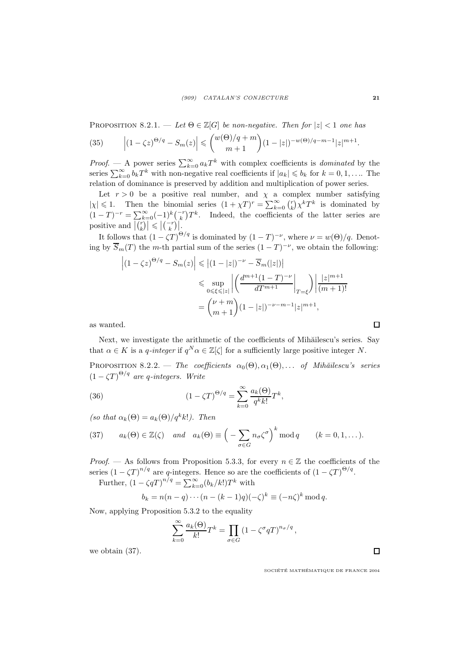PROPOSITION 8.2.1. — Let  $\Theta \in \mathbb{Z}[G]$  be non-negative. Then for  $|z| < 1$  one has

(35) 
$$
\left| (1 - \zeta z)^{\Theta/q} - S_m(z) \right| \leq \binom{w(\Theta)/q + m}{m + 1} (1 - |z|)^{-w(\Theta)/q - m - 1} |z|^{m + 1}.
$$

*Proof.* — A power series  $\sum_{k=0}^{\infty} a_k T^k$  with complex coefficients is *dominated* by the series  $\sum_{k=0}^{\infty} b_k T^k$  with non-negative real coefficients if  $|a_k| \leqslant b_k$  for  $k = 0, 1, \ldots$  The relation of dominance is preserved by addition and multiplication of power series.

Let  $r > 0$  be a positive real number, and  $\chi$  a complex number satisfying  $|\chi| \leq 1$ . Then the binomial series  $(1 + \chi T)^r = \sum_{k=0}^{\infty} {r \choose k} \chi^k T^k$  is dominated by  $(1-T)^{-r} = \sum_{k=0}^{\infty} (-1)^k { -r \choose k} T^k$ . Indeed, the coefficients of the latter series are positive and  $\left| \overline{\binom{r}{k}} \right| \leqslant \left| \binom{-r}{k} \right|$ .

It follows that  $(1 - \zeta T)^{\Theta/q}$  is dominated by  $(1 - T)^{-\nu}$ , where  $\nu = w(\Theta)/q$ . Denoting by  $\overline{S}_m(T)$  the m-th partial sum of the series  $(1-T)^{-\nu}$ , we obtain the following:

$$
\left| (1 - \zeta z)^{\Theta/q} - S_m(z) \right| \leq |(1 - |z|)^{-\nu} - \overline{S}_m(|z|)|
$$
  

$$
\leq \sup_{0 \leq \xi \leq |z|} \left| \left( \frac{d^{m+1} (1 - T)^{-\nu}}{dT^{m+1}} \bigg|_{T = \xi} \right) \right| \frac{|z|^{m+1}}{(m+1)!}
$$
  

$$
= \binom{\nu + m}{m+1} (1 - |z|)^{-\nu - m - 1} |z|^{m+1},
$$

as wanted.

Next, we investigate the arithmetic of the coefficients of Mihăilescu's series. Say that  $\alpha \in K$  is a q-integer if  $q^N \alpha \in \mathbb{Z}[\zeta]$  for a sufficiently large positive integer N.

PROPOSITION 8.2.2. — The coefficients  $\alpha_0(\Theta), \alpha_1(\Theta), \ldots$  of Mihăilescu's series  $(1 - \zeta T)^{\Theta/q}$  are q-integers. Write

(36) 
$$
(1 - \zeta T)^{\Theta/q} = \sum_{k=0}^{\infty} \frac{a_k(\Theta)}{q^k k!} T^k,
$$

(so that  $\alpha_k(\Theta) = a_k(\Theta)/q^k k!$ ). Then

(37) 
$$
a_k(\Theta) \in \mathbb{Z}(\zeta) \quad and \quad a_k(\Theta) \equiv \left(-\sum_{\sigma \in G} n_{\sigma} \zeta^{\sigma}\right)^k \mod q \qquad (k = 0, 1, ...).
$$

*Proof.* — As follows from Proposition 5.3.3, for every  $n \in \mathbb{Z}$  the coefficients of the series  $(1 - \zeta T)^{n/q}$  are q-integers. Hence so are the coefficients of  $(1 - \zeta T)^{\Theta/q}$ .

Further,  $(1 - \zeta qT)^{n/q} = \sum_{k=0}^{\infty} (b_k/k!) T^k$  with

$$
b_k = n(n-q)\cdots(n-(k-1)q)(-\zeta)^k \equiv (-n\zeta)^k \mod q.
$$

Now, applying Proposition 5.3.2 to the equality

$$
\sum_{k=0}^{\infty} \frac{a_k(\Theta)}{k!} T^k = \prod_{\sigma \in G} \left( 1 - \zeta^{\sigma} q T \right)^{n_{\sigma}/q},
$$

we obtain (37).

SOCIÉTÉ MATHÉMATIQUE DE FRANCE 2004

 $\Box$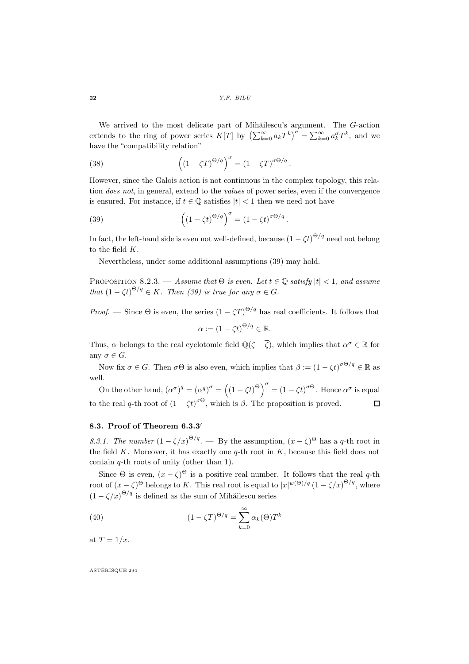We arrived to the most delicate part of Mihăilescu's argument. The  $G$ -action extends to the ring of power series  $K[T]$  by  $\left(\sum_{k=0}^{\infty} a_k T^k\right)^{\sigma} = \sum_{k=0}^{\infty} a_k^{\sigma} T^k$ , and we have the "compatibility relation"

(38) 
$$
\left((1 - \zeta T)^{\Theta/q}\right)^{\sigma} = (1 - \zeta T)^{\sigma \Theta/q}.
$$

However, since the Galois action is not continuous in the complex topology, this relation does not, in general, extend to the values of power series, even if the convergence is ensured. For instance, if  $t \in \mathbb{Q}$  satisfies  $|t| < 1$  then we need not have

(39) 
$$
\left((1-\zeta t)^{\Theta/q}\right)^{\sigma} = (1-\zeta t)^{\sigma\Theta/q}.
$$

In fact, the left-hand side is even not well-defined, because  $(1 - \zeta t)^{\Theta/q}$  need not belong to the field K.

Nevertheless, under some additional assumptions (39) may hold.

PROPOSITION 8.2.3. — Assume that  $\Theta$  is even. Let  $t \in \mathbb{Q}$  satisfy  $|t| < 1$ , and assume that  $(1 - \zeta t)^{\Theta/q} \in K$ . Then (39) is true for any  $\sigma \in G$ .

*Proof.* — Since  $\Theta$  is even, the series  $(1 - \zeta T)^{\Theta/q}$  has real coefficients. It follows that  $\alpha := (1 - \zeta t)^{\Theta/q} \in \mathbb{R}.$ 

Thus,  $\alpha$  belongs to the real cyclotomic field  $\mathbb{Q}(\zeta + \overline{\zeta})$ , which implies that  $\alpha^{\sigma} \in \mathbb{R}$  for any  $\sigma \in G$ .

Now fix  $\sigma \in G$ . Then  $\sigma \Theta$  is also even, which implies that  $\beta := (1 - \zeta t)^{\sigma \Theta/q} \in \mathbb{R}$  as well.

On the other hand,  $(\alpha^{\sigma})^q = (\alpha^q)^{\sigma} = ((1 - \zeta t)^{\Theta})^{\sigma} = (1 - \zeta t)^{\sigma \Theta}$ . Hence  $\alpha^{\sigma}$  is equal to the real q-th root of  $(1 - \zeta t)^{\sigma \Theta}$ , which is  $\beta$ . The proposition is proved.  $\Box$ 

## 8.3. Proof of Theorem  $6.3.3'$

8.3.1. The number  $(1 - \zeta/x)^{\Theta/q}$ . — By the assumption,  $(x - \zeta)^{\Theta}$  has a q-th root in the field  $K$ . Moreover, it has exactly one  $q$ -th root in  $K$ , because this field does not contain  $q$ -th roots of unity (other than 1).

Since  $\Theta$  is even,  $(x - \zeta)^{\Theta}$  is a positive real number. It follows that the real q-th root of  $(x-\zeta)^{\Theta}$  belongs to K. This real root is equal to  $|x|^{w(\Theta)/q} (1-\zeta/x)^{\Theta/q}$ , where  $(1 - \zeta/x)^{\Theta/q}$  is defined as the sum of Mihăilescu series

(40) 
$$
(1 - \zeta T)^{\Theta/q} = \sum_{k=0}^{\infty} \alpha_k(\Theta) T^k
$$

at  $T = 1/x$ .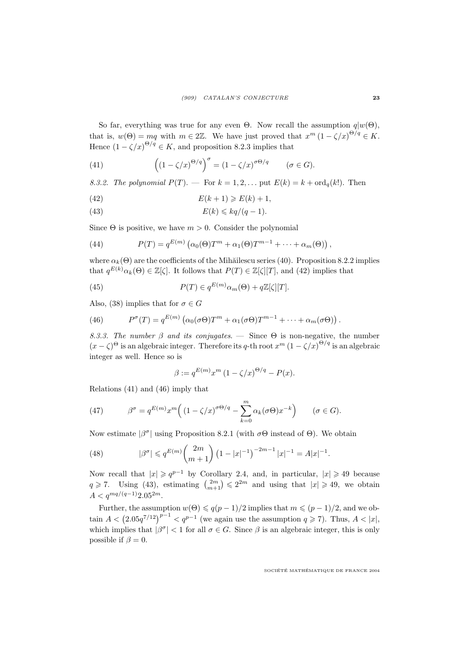So far, everything was true for any even Θ. Now recall the assumption  $q|w(\Theta)$ , that is,  $w(\Theta) = mq$  with  $m \in 2\mathbb{Z}$ . We have just proved that  $x^m (1 - \zeta/x)^{\Theta/q} \in K$ . Hence  $(1 - \zeta/x)^{\Theta/q} \in K$ , and proposition 8.2.3 implies that

(41) 
$$
\left((1-\zeta/x)^{\Theta/q}\right)^{\sigma} = (1-\zeta/x)^{\sigma\Theta/q} \qquad (\sigma \in G).
$$

8.3.2. The polynomial  $P(T)$ .  $\rightarrow$  For  $k = 1, 2, \ldots$  put  $E(k) = k + \text{ord}_q(k!)$ . Then

$$
(42) \t\t\t E(k+1) \ge E(k) + 1,
$$

(43) 
$$
E(k) \leqslant kq/(q-1).
$$

Since  $\Theta$  is positive, we have  $m > 0$ . Consider the polynomial

(44) 
$$
P(T) = q^{E(m)} \left( \alpha_0(\Theta) T^m + \alpha_1(\Theta) T^{m-1} + \dots + \alpha_m(\Theta) \right),
$$

where  $\alpha_k(\Theta)$  are the coefficients of the Mihăilescu series (40). Proposition 8.2.2 implies that  $q^{E(k)}\alpha_k(\Theta) \in \mathbb{Z}[\zeta]$ . It follows that  $P(T) \in \mathbb{Z}[\zeta][T]$ , and (42) implies that

(45) 
$$
P(T) \in q^{E(m)} \alpha_m(\Theta) + q \mathbb{Z}[\zeta][T].
$$

Also, (38) implies that for  $\sigma \in G$ 

(46) 
$$
P^{\sigma}(T) = q^{E(m)} \left( \alpha_0(\sigma \Theta) T^m + \alpha_1(\sigma \Theta) T^{m-1} + \cdots + \alpha_m(\sigma \Theta) \right).
$$

8.3.3. The number  $\beta$  and its conjugates. — Since  $\Theta$  is non-negative, the number  $(x - \zeta)^{\Theta}$  is an algebraic integer. Therefore its q-th root  $x^m (1 - \zeta/x)^{\Theta/q}$  is an algebraic integer as well. Hence so is

$$
\beta := q^{E(m)} x^m \left(1 - \zeta/x\right)^{\Theta/q} - P(x).
$$

Relations (41) and (46) imply that

(47) 
$$
\beta^{\sigma} = q^{E(m)} x^{m} \Big( \left(1 - \zeta/x\right)^{\sigma \Theta/q} - \sum_{k=0}^{m} \alpha_{k}(\sigma \Theta) x^{-k} \Big) \qquad (\sigma \in G).
$$

Now estimate  $|\beta^{\sigma}|$  using Proposition 8.2.1 (with  $\sigma\Theta$  instead of  $\Theta$ ). We obtain

(48) 
$$
|\beta^{\sigma}| \leqslant q^{E(m)} {2m \choose m+1} (1-|x|^{-1})^{-2m-1} |x|^{-1} = A|x|^{-1}.
$$

Now recall that  $|x| \geqslant q^{p-1}$  by Corollary 2.4, and, in particular,  $|x| \geqslant 49$  because  $q \geq 7$ . Using (43), estimating  $\binom{2m}{m+1} \leq 2^{2m}$  and using that  $|x| \geq 49$ , we obtain  $A < q^{mq/(q-1)}2.05^{2m}.$ 

Further, the assumption  $w(\Theta) \leqslant q(p-1)/2$  implies that  $m \leqslant (p-1)/2$ , and we obtain  $A < (2.05q^{7/12})^{p-1} < q^{p-1}$  (we again use the assumption  $q \geq 7$ ). Thus,  $A < |x|$ , which implies that  $|\beta^{\sigma}| < 1$  for all  $\sigma \in G$ . Since  $\beta$  is an algebraic integer, this is only possible if  $\beta = 0$ .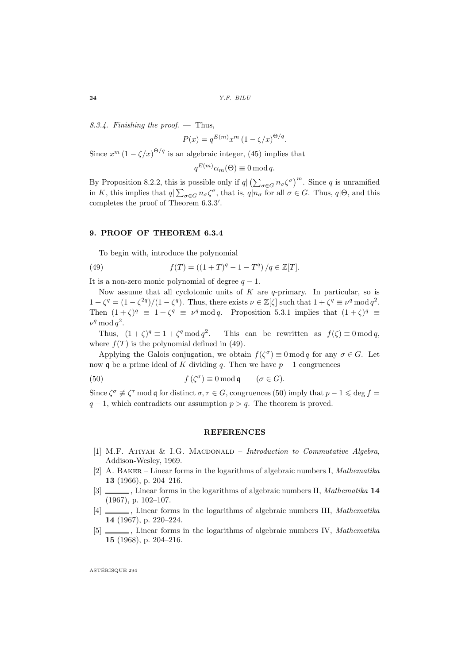8.3.4. Finishing the proof.  $-$  Thus,

$$
P(x) = q^{E(m)} x^m \left(1 - \zeta/x\right)^{\Theta/q}.
$$

Since  $x^m (1 - \zeta/x)^{\Theta/q}$  is an algebraic integer, (45) implies that

$$
q^{E(m)}\alpha_m(\Theta) \equiv 0 \mod q.
$$

By Proposition 8.2.2, this is possible only if  $q \mid (\sum_{\sigma \in G} n_{\sigma} \zeta^{\sigma})^m$ . Since q is unramified in K, this implies that  $q|\sum_{\sigma\in G}n_{\sigma}\zeta^{\sigma}$ , that is,  $q|n_{\sigma}$  for all  $\sigma\in G$ . Thus,  $q|\Theta$ , and this completes the proof of Theorem 6.3.3'.

#### 9. PROOF OF THEOREM 6.3.4

To begin with, introduce the polynomial

(49) 
$$
f(T) = ((1+T)^{q} - 1 - T^{q}) / q \in \mathbb{Z}[T].
$$

It is a non-zero monic polynomial of degree  $q - 1$ .

Now assume that all cyclotomic units of  $K$  are  $q$ -primary. In particular, so is  $1 + \zeta^q = (1 - \zeta^{2q})/(1 - \zeta^q)$ . Thus, there exists  $\nu \in \mathbb{Z}[\zeta]$  such that  $1 + \zeta^q \equiv \nu^q \mod q^2$ . Then  $(1+\zeta)^q \equiv 1+\zeta^q \equiv \nu^q \mod q$ . Proposition 5.3.1 implies that  $(1+\zeta)^q \equiv$  $\nu^q \, \text{mod} \, q^2.$ 

Thus,  $(1+\zeta)^q \equiv 1 + \zeta^q \bmod q^2$ This can be rewritten as  $f(\zeta) \equiv 0 \bmod q$ , where  $f(T)$  is the polynomial defined in (49).

Applying the Galois conjugation, we obtain  $f(\zeta^{\sigma}) \equiv 0 \mod q$  for any  $\sigma \in G$ . Let now q be a prime ideal of K dividing q. Then we have  $p-1$  congruences

(50) 
$$
f(\zeta^{\sigma}) \equiv 0 \mod \mathfrak{q} \qquad (\sigma \in G).
$$

Since  $\zeta^{\sigma} \not\equiv \zeta^{\tau}$  mod q for distinct  $\sigma, \tau \in G$ , congruences (50) imply that  $p - 1 \leq \deg f =$  $q-1$ , which contradicts our assumption  $p > q$ . The theorem is proved.

#### REFERENCES

- [1] M.F. ATIYAH & I.G. MACDONALD Introduction to Commutative Algebra, Addison-Wesley, 1969.
- [2] A. BAKER Linear forms in the logarithms of algebraic numbers I, *Mathematika* 13 (1966), p. 204–216.
- [3]  $\_\_\_\_\$ , Linear forms in the logarithms of algebraic numbers II, Mathematika 14 (1967), p. 102–107.
- [4]  $\Box$ , Linear forms in the logarithms of algebraic numbers III, Mathematika 14 (1967), p. 220–224.
- [5]  $\Box$ , Linear forms in the logarithms of algebraic numbers IV, *Mathematika* 15 (1968), p. 204–216.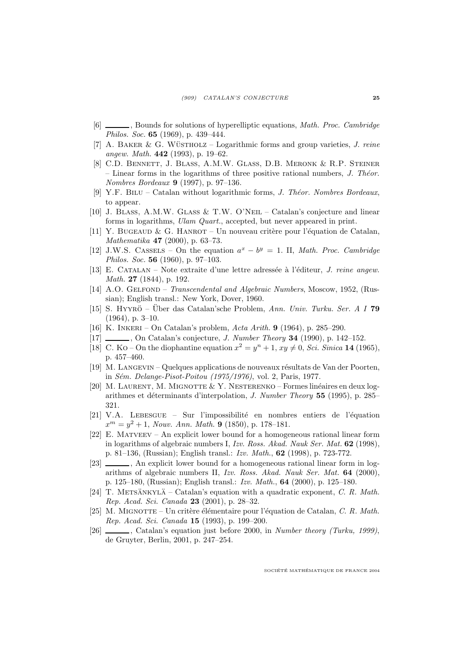- [6]  $\Box$ , Bounds for solutions of hyperelliptic equations, *Math. Proc. Cambridge* Philos. Soc. 65 (1969), p. 439–444.
- [7] A. BAKER & G. WÜSTHOLZ Logarithmic forms and group varieties,  $J.$  reine angew. Math. 442 (1993), p. 19–62.
- [8] C.D. Bennett, J. Blass, A.M.W. Glass, D.B. Meronk & R.P. Steiner – Linear forms in the logarithms of three positive rational numbers,  $J$ . Theor. Nombres Bordeaux 9 (1997), p. 97–136.
- [9] Y.F. BILU Catalan without logarithmic forms, J. Theor. Nombres Bordeaux, to appear.
- [10] J. Blass, A.M.W. Glass & T.W. O'Neil Catalan's conjecture and linear forms in logarithms, Ulam Quart., accepted, but never appeared in print.
- [11] Y. BUGEAUD & G. HANROT Un nouveau critère pour l'équation de Catalan, Mathematika 47 (2000), p. 63–73.
- [12] J.W.S. CASSELS On the equation  $a^x b^y = 1$ . II, Math. Proc. Cambridge Philos. Soc. 56 (1960), p. 97–103.
- [13] E. Catalan Note extraite d'une lettre adress´ee a` l'´editeur, J. reine angew. Math. 27 (1844), p. 192.
- [14] A.O. GELFOND Transcendental and Algebraic Numbers, Moscow, 1952, (Russian); English transl.: New York, Dover, 1960.
- [15] S. HYYRÖ Über das Catalan'sche Problem, Ann. Univ. Turku. Ser. A I 79 (1964), p. 3–10.
- [16] K. Inkeri On Catalan's problem, Acta Arith. 9 (1964), p. 285–290.
- [17] , On Catalan's conjecture, *J. Number Theory* **34** (1990), p. 142–152.
- [18] C. Ko On the diophantine equation  $x^2 = y^n + 1$ ,  $xy \neq 0$ , *Sci. Sinica* **14** (1965), p. 457–460.
- [19] M. LANGEVIN Quelques applications de nouveaux résultats de Van der Poorten, in Sém. Delange-Pisot-Poitou (1975/1976), vol. 2, Paris, 1977.
- [20] M. LAURENT, M. MIGNOTTE  $& Y.$  NESTERENKO Formes linéaires en deux logarithmes et déterminants d'interpolation, *J. Number Theory* 55 (1995), p. 285– 321.
- [21] V.A. LEBESGUE Sur l'impossibilité en nombres entiers de l'équation  $x^m = y^2 + 1$ , Nouv. Ann. Math. 9 (1850), p. 178-181.
- [22] E. Matveev An explicit lower bound for a homogeneous rational linear form in logarithms of algebraic numbers I, Izv. Ross. Akad. Nauk Ser. Mat. 62 (1998), p. 81–136, (Russian); English transl.: Izv. Math., 62 (1998), p. 723-772.
- [23]  $\_\_\_\_\$ , An explicit lower bound for a homogeneous rational linear form in logarithms of algebraic numbers II, Izv. Ross. Akad. Nauk Ser. Mat. 64 (2000), p. 125–180, (Russian); English transl.: Izv. Math., 64 (2000), p. 125–180.
- [24] T. METSÄNKYLÄ Catalan's equation with a quadratic exponent, C. R. Math. Rep. Acad. Sci. Canada 23 (2001), p. 28–32.
- [25] M. MIGNOTTE Un critère élémentaire pour l'équation de Catalan, C. R. Math. Rep. Acad. Sci. Canada 15 (1993), p. 199–200.
- [26] , Catalan's equation just before 2000, in Number theory (Turku, 1999), de Gruyter, Berlin, 2001, p. 247–254.